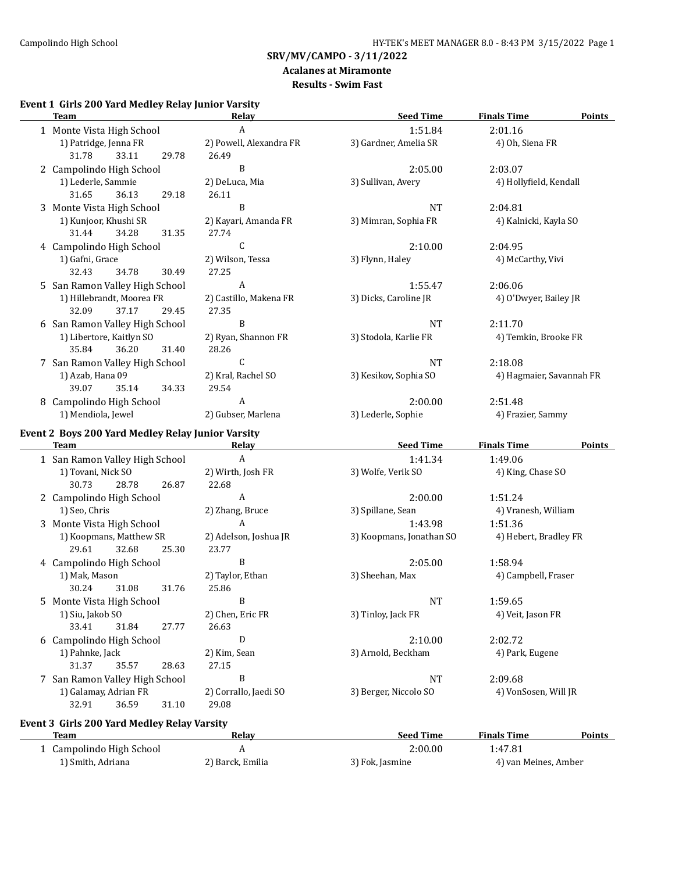#### **Acalanes at Miramonte Results - Swim Fast**

# **Event 1 Girls 200 Yard Medley Relay Junior Varsity**

| <b>Team</b>                                       | Relay                   | <b>Seed Time</b>         | <b>Finals Time</b><br><b>Points</b> |
|---------------------------------------------------|-------------------------|--------------------------|-------------------------------------|
| 1 Monte Vista High School                         | $\boldsymbol{A}$        | 1:51.84                  | 2:01.16                             |
| 1) Patridge, Jenna FR                             | 2) Powell, Alexandra FR | 3) Gardner, Amelia SR    | 4) Oh, Siena FR                     |
| 31.78<br>33.11<br>29.78                           | 26.49                   |                          |                                     |
| 2 Campolindo High School                          | $\, {\bf B}$            | 2:05.00                  | 2:03.07                             |
| 1) Lederle, Sammie                                | 2) DeLuca, Mia          | 3) Sullivan, Avery       | 4) Hollyfield, Kendall              |
| 31.65<br>36.13<br>29.18                           | 26.11                   |                          |                                     |
| 3 Monte Vista High School                         | $\, {\bf B}$            | <b>NT</b>                | 2:04.81                             |
| 1) Kunjoor, Khushi SR                             | 2) Kayari, Amanda FR    | 3) Mimran, Sophia FR     | 4) Kalnicki, Kayla SO               |
| 31.44<br>34.28<br>31.35                           | 27.74                   |                          |                                     |
| 4 Campolindo High School                          | C                       | 2:10.00                  | 2:04.95                             |
| 1) Gafni, Grace                                   | 2) Wilson, Tessa        | 3) Flynn, Haley          | 4) McCarthy, Vivi                   |
| 32.43<br>34.78<br>30.49                           | 27.25                   |                          |                                     |
| 5 San Ramon Valley High School                    | A                       | 1:55.47                  | 2:06.06                             |
| 1) Hillebrandt, Moorea FR                         | 2) Castillo, Makena FR  | 3) Dicks, Caroline JR    | 4) O'Dwyer, Bailey JR               |
| 32.09<br>37.17<br>29.45                           | 27.35                   |                          |                                     |
| 6 San Ramon Valley High School                    | B                       | <b>NT</b>                | 2:11.70                             |
| 1) Libertore, Kaitlyn SO                          | 2) Ryan, Shannon FR     | 3) Stodola, Karlie FR    | 4) Temkin, Brooke FR                |
| 35.84<br>36.20<br>31.40                           | 28.26                   |                          |                                     |
| 7 San Ramon Valley High School                    | С                       | <b>NT</b>                | 2:18.08                             |
| 1) Azab, Hana 09                                  | 2) Kral, Rachel SO      | 3) Kesikov, Sophia SO    | 4) Hagmaier, Savannah FR            |
| 39.07<br>35.14<br>34.33                           | 29.54                   |                          |                                     |
| 8 Campolindo High School                          | $\boldsymbol{A}$        | 2:00.00                  | 2:51.48                             |
| 1) Mendiola, Jewel                                | 2) Gubser, Marlena      | 3) Lederle, Sophie       | 4) Frazier, Sammy                   |
| Event 2 Boys 200 Yard Medley Relay Junior Varsity |                         |                          |                                     |
| <b>Team</b>                                       | Relay                   | <b>Seed Time</b>         | <b>Finals Time</b><br>Points        |
| 1 San Ramon Valley High School                    | $\boldsymbol{A}$        | 1:41.34                  | 1:49.06                             |
| 1) Tovani, Nick SO                                | 2) Wirth, Josh FR       | 3) Wolfe, Verik SO       | 4) King, Chase SO                   |
| 30.73<br>28.78<br>26.87                           | 22.68                   |                          |                                     |
| 2 Campolindo High School                          | A                       | 2:00.00                  | 1:51.24                             |
| 1) Seo, Chris                                     | 2) Zhang, Bruce         | 3) Spillane, Sean        | 4) Vranesh, William                 |
| 3 Monte Vista High School                         | A                       | 1:43.98                  | 1:51.36                             |
| 1) Koopmans, Matthew SR                           | 2) Adelson, Joshua JR   | 3) Koopmans, Jonathan SO | 4) Hebert, Bradley FR               |
| 29.61<br>32.68<br>25.30                           | 23.77                   |                          |                                     |
| 4 Campolindo High School                          | B                       | 2:05.00                  | 1:58.94                             |
| 1) Mak, Mason                                     | 2) Taylor, Ethan        | 3) Sheehan, Max          | 4) Campbell, Fraser                 |
| 31.08<br>31.76<br>30.24                           | 25.86                   |                          |                                     |
| 5 Monte Vista High School                         | B                       | <b>NT</b>                | 1:59.65                             |
| 1) Siu, Jakob SO                                  | 2) Chen, Eric FR        | 3) Tinloy, Jack FR       | 4) Veit, Jason FR                   |
| 33.41<br>31.84<br>27.77                           | 26.63                   |                          |                                     |
| 6 Campolindo High School                          | ${\rm D}$               | 2:10.00                  | 2:02.72                             |
| 1) Pahnke, Jack                                   | 2) Kim, Sean            | 3) Arnold, Beckham       | 4) Park, Eugene                     |
| 31.37<br>35.57<br>28.63                           | 27.15                   |                          |                                     |
| 7 San Ramon Valley High School                    | $\, {\bf B}$            | NT                       | 2:09.68                             |
| 1) Galamay, Adrian FR                             | 2) Corrallo, Jaedi SO   | 3) Berger, Niccolo SO    | 4) VonSosen, Will JR                |
| 32.91<br>36.59<br>31.10                           | 29.08                   |                          |                                     |

# **Event 3 Girls 200 Yard Medley Relay Varsity**

| Team                   | Relav            | <b>Seed Time</b> | <b>Finals Time</b>   | <b>Points</b> |
|------------------------|------------------|------------------|----------------------|---------------|
| Campolindo High School |                  | 2:00.00          | 1:47.81              |               |
| 1) Smith, Adriana      | 2) Barck, Emilia | 3) Fok, Jasmine  | 4) van Meines, Amber |               |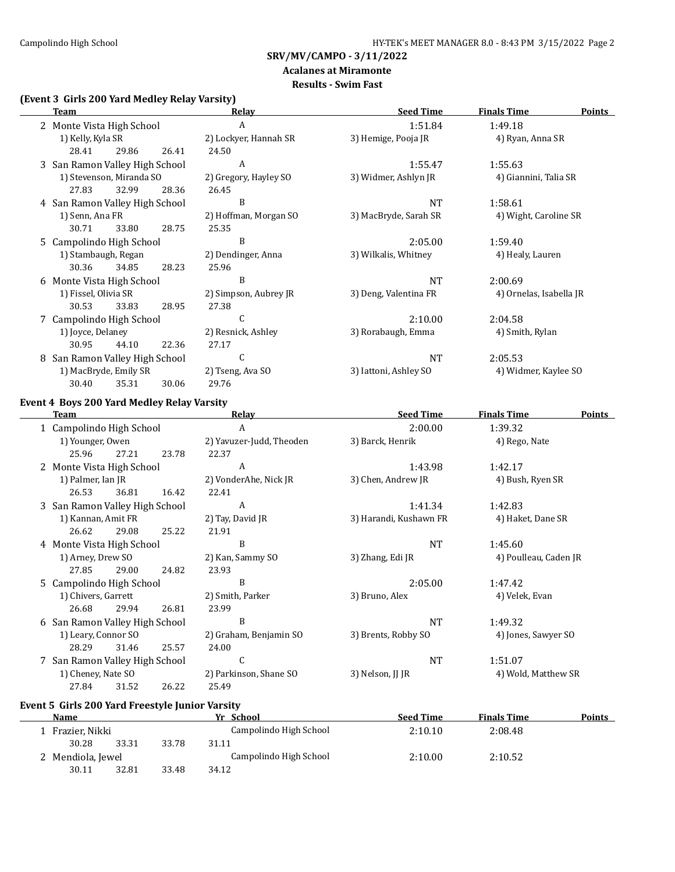# **Acalanes at Miramonte**

# **Results - Swim Fast**

# **(Event 3 Girls 200 Yard Medley Relay Varsity)**

|   | <b>Team</b>                    |       |       | Relav                 | <b>Seed Time</b>      | <b>Finals Time</b>      | <b>Points</b> |
|---|--------------------------------|-------|-------|-----------------------|-----------------------|-------------------------|---------------|
|   | 2 Monte Vista High School      |       |       | A                     | 1:51.84               | 1:49.18                 |               |
|   | 1) Kelly, Kyla SR              |       |       | 2) Lockyer, Hannah SR | 3) Hemige, Pooja JR   | 4) Ryan, Anna SR        |               |
|   | 28.41                          | 29.86 | 26.41 | 24.50                 |                       |                         |               |
|   | 3 San Ramon Valley High School |       |       | A                     | 1:55.47               | 1:55.63                 |               |
|   | 1) Stevenson, Miranda SO       |       |       | 2) Gregory, Hayley SO | 3) Widmer, Ashlyn JR  | 4) Giannini, Talia SR   |               |
|   | 27.83                          | 32.99 | 28.36 | 26.45                 |                       |                         |               |
|   | 4 San Ramon Valley High School |       |       | B                     | <b>NT</b>             | 1:58.61                 |               |
|   | 1) Senn, Ana FR                |       |       | 2) Hoffman, Morgan SO | 3) MacBryde, Sarah SR | 4) Wight, Caroline SR   |               |
|   | 30.71                          | 33.80 | 28.75 | 25.35                 |                       |                         |               |
|   | 5 Campolindo High School       |       |       | B                     | 2:05.00               | 1:59.40                 |               |
|   | 1) Stambaugh, Regan            |       |       | 2) Dendinger, Anna    | 3) Wilkalis, Whitney  | 4) Healy, Lauren        |               |
|   | 30.36                          | 34.85 | 28.23 | 25.96                 |                       |                         |               |
|   | 6 Monte Vista High School      |       |       | B                     | <b>NT</b>             | 2:00.69                 |               |
|   | 1) Fissel, Olivia SR           |       |       | 2) Simpson, Aubrey JR | 3) Deng, Valentina FR | 4) Ornelas, Isabella JR |               |
|   | 30.53                          | 33.83 | 28.95 | 27.38                 |                       |                         |               |
|   | 7 Campolindo High School       |       |       | C                     | 2:10.00               | 2:04.58                 |               |
|   | 1) Joyce, Delaney              |       |       | 2) Resnick, Ashley    | 3) Rorabaugh, Emma    | 4) Smith, Rylan         |               |
|   | 30.95                          | 44.10 | 22.36 | 27.17                 |                       |                         |               |
| 8 | San Ramon Valley High School   |       |       | C                     | <b>NT</b>             | 2:05.53                 |               |
|   | 1) MacBryde, Emily SR          |       |       | 2) Tseng, Ava SO      | 3) Iattoni, Ashley SO | 4) Widmer, Kaylee SO    |               |
|   | 30.40                          | 35.31 | 30.06 | 29.76                 |                       |                         |               |

# **Event 4 Boys 200 Yard Medley Relay Varsity**

|   | Team                           |       |       | <b>Relay</b>             | <b>Seed Time</b>       | <b>Finals Time</b>    | <b>Points</b> |
|---|--------------------------------|-------|-------|--------------------------|------------------------|-----------------------|---------------|
|   | 1 Campolindo High School       |       |       | A                        | 2:00.00                | 1:39.32               |               |
|   | 1) Younger, Owen               |       |       | 2) Yavuzer-Judd, Theoden | 3) Barck, Henrik       | 4) Rego, Nate         |               |
|   | 25.96                          | 27.21 | 23.78 | 22.37                    |                        |                       |               |
|   | 2 Monte Vista High School      |       |       | A                        | 1:43.98                | 1:42.17               |               |
|   | 1) Palmer, Ian JR              |       |       | 2) VonderAhe, Nick JR    | 3) Chen, Andrew JR     | 4) Bush, Ryen SR      |               |
|   | 26.53                          | 36.81 | 16.42 | 22.41                    |                        |                       |               |
|   | 3 San Ramon Valley High School |       |       | A                        | 1:41.34                | 1:42.83               |               |
|   | 1) Kannan, Amit FR             |       |       | 2) Tay, David JR         | 3) Harandi, Kushawn FR | 4) Haket, Dane SR     |               |
|   | 26.62                          | 29.08 | 25.22 | 21.91                    |                        |                       |               |
|   | 4 Monte Vista High School      |       |       | B                        | <b>NT</b>              | 1:45.60               |               |
|   | 1) Arney, Drew SO              |       |       | 2) Kan, Sammy SO         | 3) Zhang, Edi JR       | 4) Poulleau, Caden JR |               |
|   | 27.85                          | 29.00 | 24.82 | 23.93                    |                        |                       |               |
|   | 5 Campolindo High School       |       |       | B                        | 2:05.00                | 1:47.42               |               |
|   | 1) Chivers, Garrett            |       |       | 2) Smith, Parker         | 3) Bruno, Alex         | 4) Velek, Evan        |               |
|   | 26.68                          | 29.94 | 26.81 | 23.99                    |                        |                       |               |
| 6 | San Ramon Valley High School   |       |       | B                        | <b>NT</b>              | 1:49.32               |               |
|   | 1) Leary, Connor SO            |       |       | 2) Graham, Benjamin SO   | 3) Brents, Robby SO    | 4) Jones, Sawyer SO   |               |
|   | 28.29                          | 31.46 | 25.57 | 24.00                    |                        |                       |               |
|   | 7 San Ramon Valley High School |       |       | C                        | <b>NT</b>              | 1:51.07               |               |
|   | 1) Cheney, Nate SO             |       |       | 2) Parkinson, Shane SO   | 3) Nelson, JJ JR       | 4) Wold, Matthew SR   |               |
|   | 27.84                          | 31.52 | 26.22 | 25.49                    |                        |                       |               |

# **Event 5 Girls 200 Yard Freestyle Junior Varsity**

| <b>Name</b>       |       |       | Yr School              | <b>Seed Time</b> | <b>Finals Time</b> | <b>Points</b> |
|-------------------|-------|-------|------------------------|------------------|--------------------|---------------|
| 1 Frazier, Nikki  |       |       | Campolindo High School | 2:10.10          | 2:08.48            |               |
| 30.28             | 33.31 | 33.78 | 31.11                  |                  |                    |               |
| 2 Mendiola, Jewel |       |       | Campolindo High School | 2:10.00          | 2:10.52            |               |
| 30.11             | 32.81 | 33.48 | 34.12                  |                  |                    |               |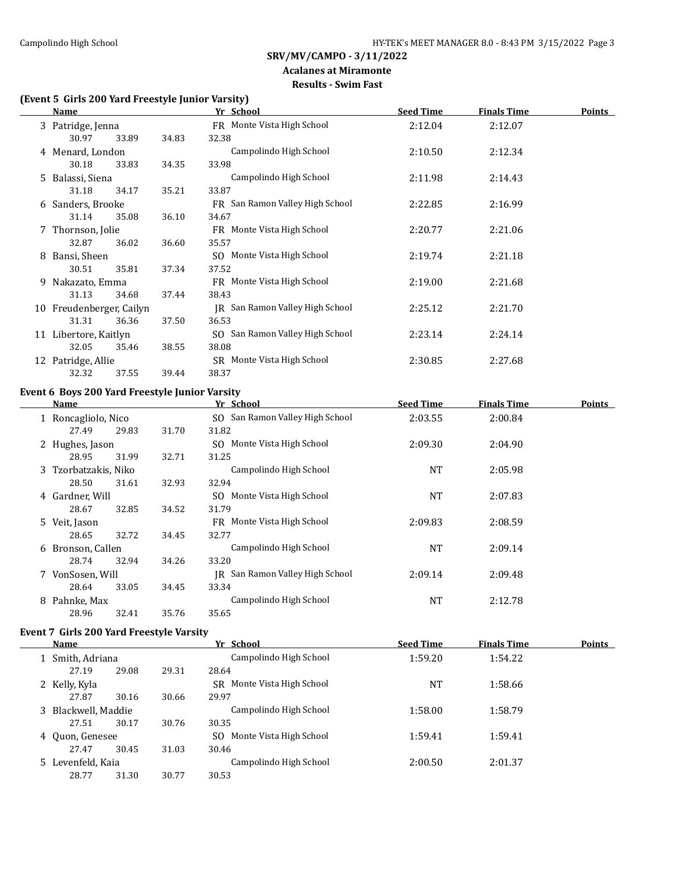#### **Acalanes at Miramonte Results - Swim Fast**

# **(Event 5 Girls 200 Yard Freestyle Junior Varsity)**

|   | <u>Name</u>              |       |       | Yr School                       | <b>Seed Time</b> | <b>Finals Time</b> | <b>Points</b> |
|---|--------------------------|-------|-------|---------------------------------|------------------|--------------------|---------------|
|   | 3 Patridge, Jenna        |       |       | FR Monte Vista High School      | 2:12.04          | 2:12.07            |               |
|   | 30.97                    | 33.89 | 34.83 | 32.38                           |                  |                    |               |
|   | 4 Menard, London         |       |       | Campolindo High School          | 2:10.50          | 2:12.34            |               |
|   | 30.18                    | 33.83 | 34.35 | 33.98                           |                  |                    |               |
|   | 5 Balassi, Siena         |       |       | Campolindo High School          | 2:11.98          | 2:14.43            |               |
|   | 31.18                    | 34.17 | 35.21 | 33.87                           |                  |                    |               |
|   | 6 Sanders, Brooke        |       |       | FR San Ramon Valley High School | 2:22.85          | 2:16.99            |               |
|   | 31.14                    | 35.08 | 36.10 | 34.67                           |                  |                    |               |
|   | 7 Thornson, Jolie        |       |       | FR Monte Vista High School      | 2:20.77          | 2:21.06            |               |
|   | 32.87                    | 36.02 | 36.60 | 35.57                           |                  |                    |               |
| 8 | Bansi, Sheen             |       |       | SO Monte Vista High School      | 2:19.74          | 2:21.18            |               |
|   | 30.51                    | 35.81 | 37.34 | 37.52                           |                  |                    |               |
|   | 9 Nakazato, Emma         |       |       | FR Monte Vista High School      | 2:19.00          | 2:21.68            |               |
|   | 31.13                    | 34.68 | 37.44 | 38.43                           |                  |                    |               |
|   | 10 Freudenberger, Cailyn |       |       | IR San Ramon Valley High School | 2:25.12          | 2:21.70            |               |
|   | 31.31                    | 36.36 | 37.50 | 36.53                           |                  |                    |               |
|   | 11 Libertore, Kaitlyn    |       |       | SO San Ramon Valley High School | 2:23.14          | 2:24.14            |               |
|   | 32.05                    | 35.46 | 38.55 | 38.08                           |                  |                    |               |
|   | 12 Patridge, Allie       |       |       | SR Monte Vista High School      | 2:30.85          | 2:27.68            |               |
|   | 32.32                    | 37.55 | 39.44 | 38.37                           |                  |                    |               |

#### **Event 6 Boys 200 Yard Freestyle Junior Varsity**

|   | Name                 |       |       | Yr School                          | <b>Seed Time</b> | <b>Finals Time</b> | <b>Points</b> |
|---|----------------------|-------|-------|------------------------------------|------------------|--------------------|---------------|
|   | 1 Roncagliolo, Nico  |       |       | SO San Ramon Valley High School    | 2:03.55          | 2:00.84            |               |
|   | 27.49                | 29.83 | 31.70 | 31.82                              |                  |                    |               |
|   | 2 Hughes, Jason      |       |       | SO Monte Vista High School         | 2:09.30          | 2:04.90            |               |
|   | 28.95                | 31.99 | 32.71 | 31.25                              |                  |                    |               |
|   | 3 Tzorbatzakis, Niko |       |       | Campolindo High School             | NT               | 2:05.98            |               |
|   | 28.50                | 31.61 | 32.93 | 32.94                              |                  |                    |               |
|   | 4 Gardner, Will      |       |       | SO Monte Vista High School         | NT               | 2:07.83            |               |
|   | 28.67                | 32.85 | 34.52 | 31.79                              |                  |                    |               |
|   | 5 Veit, Jason        |       |       | FR Monte Vista High School         | 2:09.83          | 2:08.59            |               |
|   | 28.65                | 32.72 | 34.45 | 32.77                              |                  |                    |               |
|   | 6 Bronson, Callen    |       |       | Campolindo High School             | NT               | 2:09.14            |               |
|   | 28.74                | 32.94 | 34.26 | 33.20                              |                  |                    |               |
|   | 7 VonSosen, Will     |       |       | San Ramon Valley High School<br>IR | 2:09.14          | 2:09.48            |               |
|   | 28.64                | 33.05 | 34.45 | 33.34                              |                  |                    |               |
| 8 | Pahnke, Max          |       |       | Campolindo High School             | NT               | 2:12.78            |               |
|   | 28.96                | 32.41 | 35.76 | 35.65                              |                  |                    |               |

#### **Event 7 Girls 200 Yard Freestyle Varsity**

| <b>Name</b>         |       | Yr School |                                | <b>Seed Time</b> | <b>Finals Time</b> | Points |
|---------------------|-------|-----------|--------------------------------|------------------|--------------------|--------|
| 1 Smith, Adriana    |       |           | Campolindo High School         | 1:59.20          | 1:54.22            |        |
| 27.19               | 29.08 | 29.31     | 28.64                          |                  |                    |        |
| 2 Kelly, Kyla       |       |           | Monte Vista High School<br>SR. | <b>NT</b>        | 1:58.66            |        |
| 27.87               | 30.16 | 30.66     | 29.97                          |                  |                    |        |
| 3 Blackwell, Maddie |       |           | Campolindo High School         | 1:58.00          | 1:58.79            |        |
| 27.51               | 30.17 | 30.76     | 30.35                          |                  |                    |        |
| 4 Ouon, Genesee     |       |           | Monte Vista High School<br>SO. | 1:59.41          | 1:59.41            |        |
| 27.47               | 30.45 | 31.03     | 30.46                          |                  |                    |        |
| 5 Levenfeld, Kaia   |       |           | Campolindo High School         | 2:00.50          | 2:01.37            |        |
| 28.77               | 31.30 | 30.77     | 30.53                          |                  |                    |        |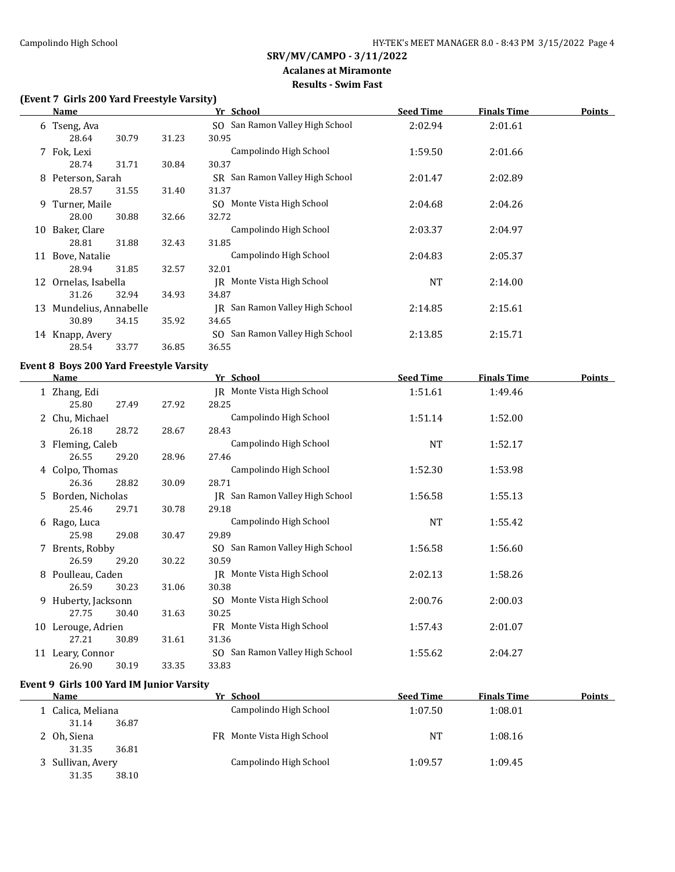#### **Acalanes at Miramonte Results - Swim Fast**

# **(Event 7 Girls 200 Yard Freestyle Varsity)**

|    | Name                 |       |       | Yr School                       | <b>Seed Time</b> | <b>Finals Time</b> | <b>Points</b> |
|----|----------------------|-------|-------|---------------------------------|------------------|--------------------|---------------|
|    | 6 Tseng, Ava         |       |       | SO San Ramon Valley High School | 2:02.94          | 2:01.61            |               |
|    | 28.64                | 30.79 | 31.23 | 30.95                           |                  |                    |               |
|    | 7 Fok, Lexi          |       |       | Campolindo High School          | 1:59.50          | 2:01.66            |               |
|    | 28.74                | 31.71 | 30.84 | 30.37                           |                  |                    |               |
| 8  | Peterson, Sarah      |       |       | SR San Ramon Valley High School | 2:01.47          | 2:02.89            |               |
|    | 28.57                | 31.55 | 31.40 | 31.37                           |                  |                    |               |
|    | 9 Turner, Maile      |       |       | SO Monte Vista High School      | 2:04.68          | 2:04.26            |               |
|    | 28.00                | 30.88 | 32.66 | 32.72                           |                  |                    |               |
| 10 | Baker, Clare         |       |       | Campolindo High School          | 2:03.37          | 2:04.97            |               |
|    | 28.81                | 31.88 | 32.43 | 31.85                           |                  |                    |               |
| 11 | Bove, Natalie        |       |       | Campolindo High School          | 2:04.83          | 2:05.37            |               |
|    | 28.94                | 31.85 | 32.57 | 32.01                           |                  |                    |               |
| 12 | Ornelas, Isabella    |       |       | IR Monte Vista High School      | NT               | 2:14.00            |               |
|    | 31.26                | 32.94 | 34.93 | 34.87                           |                  |                    |               |
| 13 | Mundelius, Annabelle |       |       | IR San Ramon Valley High School | 2:14.85          | 2:15.61            |               |
|    | 30.89                | 34.15 | 35.92 | 34.65                           |                  |                    |               |
|    | 14 Knapp, Avery      |       |       | SO San Ramon Valley High School | 2:13.85          | 2:15.71            |               |
|    | 28.54                | 33.77 | 36.85 | 36.55                           |                  |                    |               |

# **Event 8 Boys 200 Yard Freestyle Varsity**

|    | Name                |       |       | Yr School                       | <b>Seed Time</b> | <b>Finals Time</b> | <b>Points</b> |
|----|---------------------|-------|-------|---------------------------------|------------------|--------------------|---------------|
|    | 1 Zhang, Edi        |       |       | JR Monte Vista High School      | 1:51.61          | 1:49.46            |               |
|    | 25.80               | 27.49 | 27.92 | 28.25                           |                  |                    |               |
|    | 2 Chu, Michael      |       |       | Campolindo High School          | 1:51.14          | 1:52.00            |               |
|    | 26.18               | 28.72 | 28.67 | 28.43                           |                  |                    |               |
|    | 3 Fleming, Caleb    |       |       | Campolindo High School          | NT               | 1:52.17            |               |
|    | 26.55               | 29.20 | 28.96 | 27.46                           |                  |                    |               |
| 4  | Colpo, Thomas       |       |       | Campolindo High School          | 1:52.30          | 1:53.98            |               |
|    | 26.36               | 28.82 | 30.09 | 28.71                           |                  |                    |               |
| 5. | Borden, Nicholas    |       |       | IR San Ramon Valley High School | 1:56.58          | 1:55.13            |               |
|    | 25.46               | 29.71 | 30.78 | 29.18                           |                  |                    |               |
| 6  | Rago, Luca          |       |       | Campolindo High School          | NT               | 1:55.42            |               |
|    | 25.98               | 29.08 | 30.47 | 29.89                           |                  |                    |               |
|    | 7 Brents, Robby     |       |       | SO San Ramon Valley High School | 1:56.58          | 1:56.60            |               |
|    | 26.59               | 29.20 | 30.22 | 30.59                           |                  |                    |               |
| 8  | Poulleau, Caden     |       |       | JR Monte Vista High School      | 2:02.13          | 1:58.26            |               |
|    | 26.59               | 30.23 | 31.06 | 30.38                           |                  |                    |               |
|    | 9 Huberty, Jacksonn |       |       | SO Monte Vista High School      | 2:00.76          | 2:00.03            |               |
|    | 27.75               | 30.40 | 31.63 | 30.25                           |                  |                    |               |
| 10 | Lerouge, Adrien     |       |       | FR Monte Vista High School      | 1:57.43          | 2:01.07            |               |
|    | 27.21               | 30.89 | 31.61 | 31.36                           |                  |                    |               |
| 11 | Leary, Connor       |       |       | SO San Ramon Valley High School | 1:55.62          | 2:04.27            |               |
|    | 26.90               | 30.19 | 33.35 | 33.83                           |                  |                    |               |

# **Event 9 Girls 100 Yard IM Junior Varsity**

| <b>Name</b>       |       | Yr School                  | <b>Seed Time</b> | <b>Finals Time</b>   | <b>Points</b> |
|-------------------|-------|----------------------------|------------------|----------------------|---------------|
| 1 Calica, Meliana |       | Campolindo High School     | 1:07.50          | 1:08.01              |               |
| 31.14             | 36.87 |                            |                  |                      |               |
| 2 Oh, Siena       |       | FR Monte Vista High School |                  | <b>NT</b><br>1:08.16 |               |
| 31.35             | 36.81 |                            |                  |                      |               |
| 3 Sullivan, Avery |       | Campolindo High School     | 1:09.57          | 1:09.45              |               |
| 31.35             | 38.10 |                            |                  |                      |               |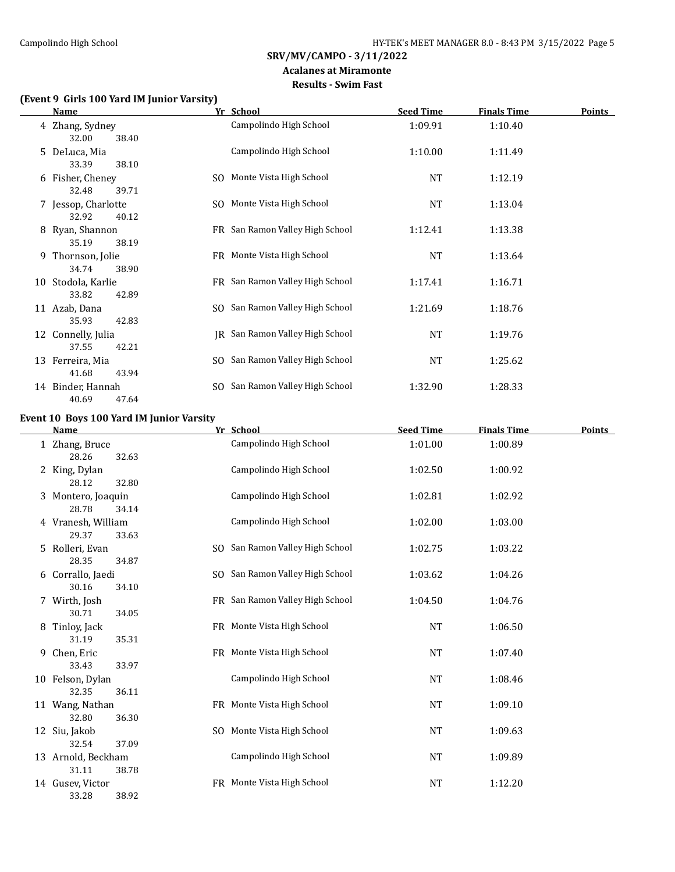# **Acalanes at Miramonte**

# **Results - Swim Fast**

# **(Event 9 Girls 100 Yard IM Junior Varsity)**

|    | <b>Name</b>                           | Yr School                       | <b>Seed Time</b> | <b>Finals Time</b> | <b>Points</b> |
|----|---------------------------------------|---------------------------------|------------------|--------------------|---------------|
|    | 4 Zhang, Sydney<br>32.00<br>38.40     | Campolindo High School          | 1:09.91          | 1:10.40            |               |
|    | 5 DeLuca, Mia<br>33.39<br>38.10       | Campolindo High School          | 1:10.00          | 1:11.49            |               |
|    | 6 Fisher, Cheney<br>32.48<br>39.71    | SO Monte Vista High School      | NT               | 1:12.19            |               |
|    | 7 Jessop, Charlotte<br>40.12<br>32.92 | SO Monte Vista High School      | NT               | 1:13.04            |               |
|    | 8 Ryan, Shannon<br>35.19<br>38.19     | FR San Ramon Valley High School | 1:12.41          | 1:13.38            |               |
|    | 9 Thornson, Jolie<br>34.74<br>38.90   | FR Monte Vista High School      | NT               | 1:13.64            |               |
| 10 | Stodola, Karlie<br>33.82<br>42.89     | FR San Ramon Valley High School | 1:17.41          | 1:16.71            |               |
|    | 11 Azab, Dana<br>35.93<br>42.83       | SO San Ramon Valley High School | 1:21.69          | 1:18.76            |               |
|    | 12 Connelly, Julia<br>37.55<br>42.21  | JR San Ramon Valley High School | <b>NT</b>        | 1:19.76            |               |
| 13 | Ferreira, Mia<br>41.68<br>43.94       | SO San Ramon Valley High School | NT               | 1:25.62            |               |
|    | 14 Binder, Hannah<br>47.64<br>40.69   | SO San Ramon Valley High School | 1:32.90          | 1:28.33            |               |

# **Event 10 Boys 100 Yard IM Junior Varsity**

|   | <b>Name</b>                          |     | Yr School                       | <b>Seed Time</b> | <b>Finals Time</b> | <b>Points</b> |
|---|--------------------------------------|-----|---------------------------------|------------------|--------------------|---------------|
|   | 1 Zhang, Bruce<br>28.26<br>32.63     |     | Campolindo High School          | 1:01.00          | 1:00.89            |               |
|   | 2 King, Dylan<br>32.80<br>28.12      |     | Campolindo High School          | 1:02.50          | 1:00.92            |               |
|   | 3 Montero, Joaquin<br>28.78<br>34.14 |     | Campolindo High School          | 1:02.81          | 1:02.92            |               |
|   | 4 Vranesh, William<br>29.37<br>33.63 |     | Campolindo High School          | 1:02.00          | 1:03.00            |               |
|   | 5 Rolleri, Evan<br>28.35<br>34.87    |     | SO San Ramon Valley High School | 1:02.75          | 1:03.22            |               |
|   | 6 Corrallo, Jaedi<br>30.16<br>34.10  |     | SO San Ramon Valley High School | 1:03.62          | 1:04.26            |               |
|   | 7 Wirth, Josh<br>30.71<br>34.05      |     | FR San Ramon Valley High School | 1:04.50          | 1:04.76            |               |
|   | 8 Tinloy, Jack<br>35.31<br>31.19     |     | FR Monte Vista High School      | <b>NT</b>        | 1:06.50            |               |
| 9 | Chen, Eric<br>33.43<br>33.97         |     | FR Monte Vista High School      | <b>NT</b>        | 1:07.40            |               |
|   | 10 Felson, Dylan<br>32.35<br>36.11   |     | Campolindo High School          | <b>NT</b>        | 1:08.46            |               |
|   | 11 Wang, Nathan<br>32.80<br>36.30    |     | FR Monte Vista High School      | <b>NT</b>        | 1:09.10            |               |
|   | 12 Siu, Jakob<br>32.54<br>37.09      |     | SO Monte Vista High School      | <b>NT</b>        | 1:09.63            |               |
|   | 13 Arnold, Beckham<br>31.11<br>38.78 |     | Campolindo High School          | <b>NT</b>        | 1:09.89            |               |
|   | 14 Gusev, Victor<br>33.28<br>38.92   | FR. | Monte Vista High School         | <b>NT</b>        | 1:12.20            |               |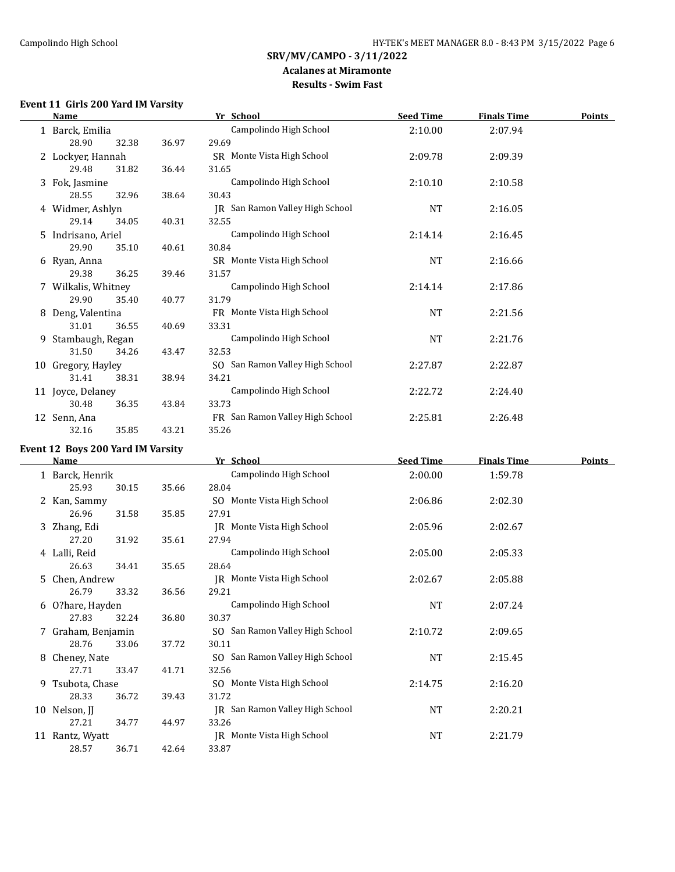#### **Acalanes at Miramonte Results - Swim Fast**

#### **Event 11 Girls 200 Yard IM Varsity**

|   | Name                |       |       | Yr School                       | <b>Seed Time</b> | <b>Finals Time</b> | <b>Points</b> |
|---|---------------------|-------|-------|---------------------------------|------------------|--------------------|---------------|
|   | 1 Barck, Emilia     |       |       | Campolindo High School          | 2:10.00          | 2:07.94            |               |
|   | 28.90               | 32.38 | 36.97 | 29.69                           |                  |                    |               |
|   | 2 Lockyer, Hannah   |       |       | SR Monte Vista High School      | 2:09.78          | 2:09.39            |               |
|   | 29.48               | 31.82 | 36.44 | 31.65                           |                  |                    |               |
|   | 3 Fok, Jasmine      |       |       | Campolindo High School          | 2:10.10          | 2:10.58            |               |
|   | 28.55               | 32.96 | 38.64 | 30.43                           |                  |                    |               |
|   | 4 Widmer, Ashlyn    |       |       | JR San Ramon Valley High School | <b>NT</b>        | 2:16.05            |               |
|   | 29.14               | 34.05 | 40.31 | 32.55                           |                  |                    |               |
|   | 5 Indrisano, Ariel  |       |       | Campolindo High School          | 2:14.14          | 2:16.45            |               |
|   | 29.90               | 35.10 | 40.61 | 30.84                           |                  |                    |               |
|   | 6 Ryan, Anna        |       |       | SR Monte Vista High School      | NT               | 2:16.66            |               |
|   | 29.38               | 36.25 | 39.46 | 31.57                           |                  |                    |               |
|   | 7 Wilkalis, Whitney |       |       | Campolindo High School          | 2:14.14          | 2:17.86            |               |
|   | 29.90               | 35.40 | 40.77 | 31.79                           |                  |                    |               |
| 8 | Deng, Valentina     |       |       | FR Monte Vista High School      | NT               | 2:21.56            |               |
|   | 31.01               | 36.55 | 40.69 | 33.31                           |                  |                    |               |
| 9 | Stambaugh, Regan    |       |       | Campolindo High School          | <b>NT</b>        | 2:21.76            |               |
|   | 31.50               | 34.26 | 43.47 | 32.53                           |                  |                    |               |
|   | 10 Gregory, Hayley  |       |       | SO San Ramon Valley High School | 2:27.87          | 2:22.87            |               |
|   | 31.41               | 38.31 | 38.94 | 34.21                           |                  |                    |               |
|   | 11 Joyce, Delaney   |       |       | Campolindo High School          | 2:22.72          | 2:24.40            |               |
|   | 30.48               | 36.35 | 43.84 | 33.73                           |                  |                    |               |
|   | 12 Senn, Ana        |       |       | FR San Ramon Valley High School | 2:25.81          | 2:26.48            |               |
|   | 32.16               | 35.85 | 43.21 | 35.26                           |                  |                    |               |

#### **Event 12 Boys 200 Yard IM Varsity**

| Name |                    | Yr School |       | <b>Seed Time</b>                | <b>Finals Time</b> | Points  |  |
|------|--------------------|-----------|-------|---------------------------------|--------------------|---------|--|
|      | 1 Barck, Henrik    |           |       | Campolindo High School          | 2:00.00            | 1:59.78 |  |
|      | 25.93              | 30.15     | 35.66 | 28.04                           |                    |         |  |
|      | 2 Kan, Sammy       |           |       | SO Monte Vista High School      | 2:06.86            | 2:02.30 |  |
|      | 26.96              | 31.58     | 35.85 | 27.91                           |                    |         |  |
|      | 3 Zhang, Edi       |           |       | IR Monte Vista High School      | 2:05.96            | 2:02.67 |  |
|      | 27.20              | 31.92     | 35.61 | 27.94                           |                    |         |  |
|      | 4 Lalli, Reid      |           |       | Campolindo High School          | 2:05.00            | 2:05.33 |  |
|      | 26.63              | 34.41     | 35.65 | 28.64                           |                    |         |  |
|      | 5 Chen, Andrew     |           |       | IR Monte Vista High School      | 2:02.67            | 2:05.88 |  |
|      | 26.79              | 33.32     | 36.56 | 29.21                           |                    |         |  |
|      | 6 O?hare, Hayden   |           |       | Campolindo High School          | NT                 | 2:07.24 |  |
|      | 27.83              | 32.24     | 36.80 | 30.37                           |                    |         |  |
|      | 7 Graham, Benjamin |           |       | SO San Ramon Valley High School | 2:10.72            | 2:09.65 |  |
|      | 28.76              | 33.06     | 37.72 | 30.11                           |                    |         |  |
| 8    | Cheney, Nate       |           |       | SO San Ramon Valley High School | NT                 | 2:15.45 |  |
|      | 27.71              | 33.47     | 41.71 | 32.56                           |                    |         |  |
| 9.   | Tsubota, Chase     |           |       | SO Monte Vista High School      | 2:14.75            | 2:16.20 |  |
|      | 28.33              | 36.72     | 39.43 | 31.72                           |                    |         |  |
|      | 10 Nelson, JJ      |           |       | JR San Ramon Valley High School | NT                 | 2:20.21 |  |
|      | 27.21              | 34.77     | 44.97 | 33.26                           |                    |         |  |
|      | 11 Rantz, Wyatt    |           |       | JR Monte Vista High School      | NT                 | 2:21.79 |  |
|      | 28.57              | 36.71     | 42.64 | 33.87                           |                    |         |  |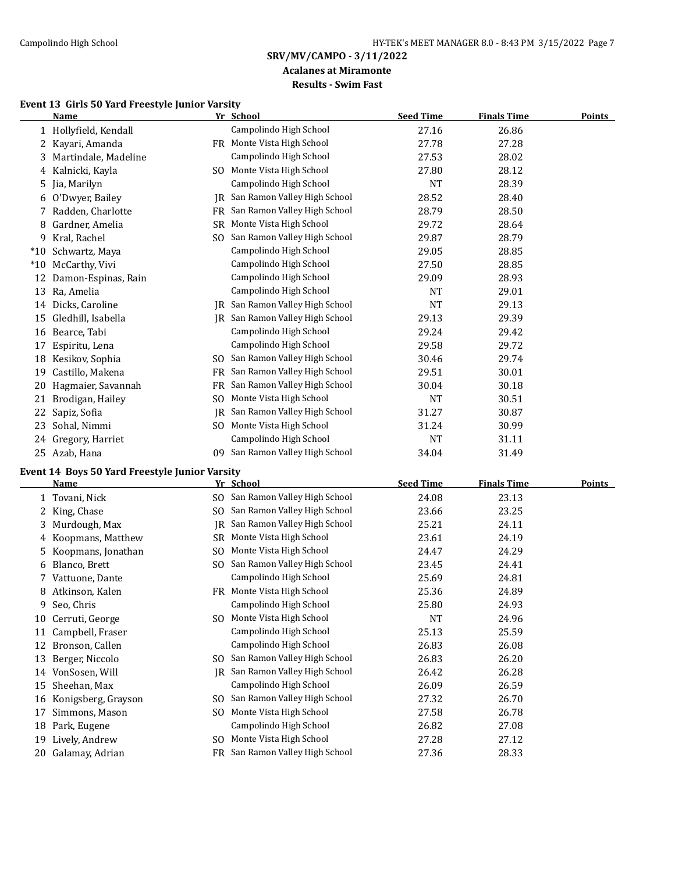# **Acalanes at Miramonte**

# **Results - Swim Fast**

# **Event 13 Girls 50 Yard Freestyle Junior Varsity**

|       | <b>Name</b>           |           | Yr School                    | <b>Seed Time</b> | <b>Finals Time</b> | Points |
|-------|-----------------------|-----------|------------------------------|------------------|--------------------|--------|
|       | 1 Hollyfield, Kendall |           | Campolindo High School       | 27.16            | 26.86              |        |
| 2     | Kayari, Amanda        |           | FR Monte Vista High School   | 27.78            | 27.28              |        |
| 3.    | Martindale, Madeline  |           | Campolindo High School       | 27.53            | 28.02              |        |
|       | 4 Kalnicki, Kayla     | SO.       | Monte Vista High School      | 27.80            | 28.12              |        |
| 5.    | Jia, Marilyn          |           | Campolindo High School       | <b>NT</b>        | 28.39              |        |
| 6     | O'Dwyer, Bailey       | IR        | San Ramon Valley High School | 28.52            | 28.40              |        |
|       | Radden, Charlotte     | <b>FR</b> | San Ramon Valley High School | 28.79            | 28.50              |        |
| 8     | Gardner, Amelia       | SR.       | Monte Vista High School      | 29.72            | 28.64              |        |
| 9     | Kral, Rachel          | SO.       | San Ramon Valley High School | 29.87            | 28.79              |        |
| $*10$ | Schwartz, Maya        |           | Campolindo High School       | 29.05            | 28.85              |        |
| $*10$ | McCarthy, Vivi        |           | Campolindo High School       | 27.50            | 28.85              |        |
| 12    | Damon-Espinas, Rain   |           | Campolindo High School       | 29.09            | 28.93              |        |
| 13    | Ra, Amelia            |           | Campolindo High School       | NT               | 29.01              |        |
| 14    | Dicks, Caroline       | IR        | San Ramon Valley High School | <b>NT</b>        | 29.13              |        |
| 15    | Gledhill, Isabella    | IR        | San Ramon Valley High School | 29.13            | 29.39              |        |
| 16    | Bearce, Tabi          |           | Campolindo High School       | 29.24            | 29.42              |        |
| 17    | Espiritu, Lena        |           | Campolindo High School       | 29.58            | 29.72              |        |
| 18    | Kesikov, Sophia       | SO.       | San Ramon Valley High School | 30.46            | 29.74              |        |
| 19    | Castillo, Makena      | FR        | San Ramon Valley High School | 29.51            | 30.01              |        |
| 20    | Hagmaier, Savannah    | FR.       | San Ramon Valley High School | 30.04            | 30.18              |        |
| 21    | Brodigan, Hailey      | SO.       | Monte Vista High School      | <b>NT</b>        | 30.51              |        |
| 22    | Sapiz, Sofia          | IR        | San Ramon Valley High School | 31.27            | 30.87              |        |
| 23    | Sohal, Nimmi          | SO.       | Monte Vista High School      | 31.24            | 30.99              |        |
| 24    | Gregory, Harriet      |           | Campolindo High School       | <b>NT</b>        | 31.11              |        |
|       | 25 Azab, Hana         | 09.       | San Ramon Valley High School | 34.04            | 31.49              |        |

# **Event 14 Boys 50 Yard Freestyle Junior Varsity**

|    | Name                |     | Yr School                    | <b>Seed Time</b> | <b>Finals Time</b> | <b>Points</b> |
|----|---------------------|-----|------------------------------|------------------|--------------------|---------------|
|    | Tovani, Nick        | SO. | San Ramon Valley High School | 24.08            | 23.13              |               |
|    | King, Chase         | SO. | San Ramon Valley High School | 23.66            | 23.25              |               |
| 3. | Murdough, Max       |     | San Ramon Valley High School | 25.21            | 24.11              |               |
| 4  | Koopmans, Matthew   | SR  | Monte Vista High School      | 23.61            | 24.19              |               |
| 5. | Koopmans, Jonathan  | SO. | Monte Vista High School      | 24.47            | 24.29              |               |
| 6  | Blanco, Brett       | SO. | San Ramon Valley High School | 23.45            | 24.41              |               |
| 7  | Vattuone, Dante     |     | Campolindo High School       | 25.69            | 24.81              |               |
| 8  | Atkinson, Kalen     | FR  | Monte Vista High School      | 25.36            | 24.89              |               |
| 9. | Seo, Chris          |     | Campolindo High School       | 25.80            | 24.93              |               |
| 10 | Cerruti, George     | SO. | Monte Vista High School      | NT               | 24.96              |               |
| 11 | Campbell, Fraser    |     | Campolindo High School       | 25.13            | 25.59              |               |
| 12 | Bronson, Callen     |     | Campolindo High School       | 26.83            | 26.08              |               |
| 13 | Berger, Niccolo     | SO. | San Ramon Valley High School | 26.83            | 26.20              |               |
| 14 | VonSosen, Will      | IR  | San Ramon Valley High School | 26.42            | 26.28              |               |
| 15 | Sheehan, Max        |     | Campolindo High School       | 26.09            | 26.59              |               |
| 16 | Konigsberg, Grayson | SO. | San Ramon Valley High School | 27.32            | 26.70              |               |
| 17 | Simmons, Mason      | SO. | Monte Vista High School      | 27.58            | 26.78              |               |
| 18 | Park, Eugene        |     | Campolindo High School       | 26.82            | 27.08              |               |
| 19 | Lively, Andrew      | SO. | Monte Vista High School      | 27.28            | 27.12              |               |
| 20 | Galamay, Adrian     | FR  | San Ramon Valley High School | 27.36            | 28.33              |               |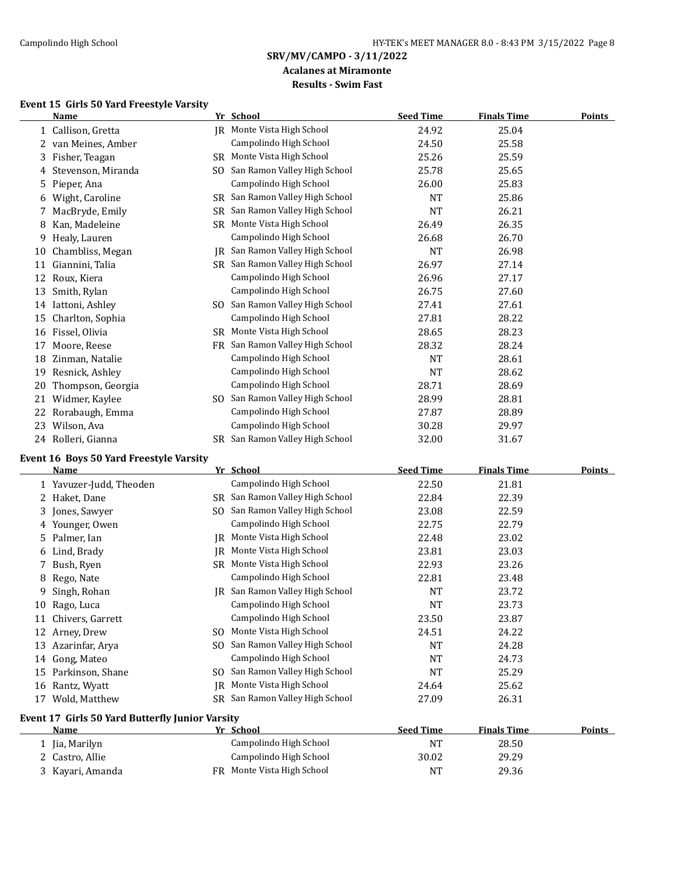#### **Acalanes at Miramonte Results - Swim Fast**

# **Event 15 Girls 50 Yard Freestyle Varsity**

|    | Name                |     | Yr School                       | <b>Seed Time</b> | <b>Finals Time</b> | Points |
|----|---------------------|-----|---------------------------------|------------------|--------------------|--------|
|    | 1 Callison, Gretta  | IR  | Monte Vista High School         | 24.92            | 25.04              |        |
|    | 2 van Meines, Amber |     | Campolindo High School          | 24.50            | 25.58              |        |
| 3  | Fisher, Teagan      |     | SR Monte Vista High School      | 25.26            | 25.59              |        |
| 4  | Stevenson, Miranda  | SO. | San Ramon Valley High School    | 25.78            | 25.65              |        |
| 5. | Pieper, Ana         |     | Campolindo High School          | 26.00            | 25.83              |        |
| 6  | Wight, Caroline     |     | SR San Ramon Valley High School | <b>NT</b>        | 25.86              |        |
|    | MacBryde, Emily     | SR. | San Ramon Valley High School    | <b>NT</b>        | 26.21              |        |
| 8  | Kan, Madeleine      |     | SR Monte Vista High School      | 26.49            | 26.35              |        |
| 9  | Healy, Lauren       |     | Campolindo High School          | 26.68            | 26.70              |        |
| 10 | Chambliss, Megan    | IR  | San Ramon Valley High School    | NT               | 26.98              |        |
| 11 | Giannini, Talia     | SR. | San Ramon Valley High School    | 26.97            | 27.14              |        |
| 12 | Roux, Kiera         |     | Campolindo High School          | 26.96            | 27.17              |        |
| 13 | Smith, Rylan        |     | Campolindo High School          | 26.75            | 27.60              |        |
| 14 | Iattoni, Ashley     | SO. | San Ramon Valley High School    | 27.41            | 27.61              |        |
| 15 | Charlton, Sophia    |     | Campolindo High School          | 27.81            | 28.22              |        |
| 16 | Fissel, Olivia      | SR. | Monte Vista High School         | 28.65            | 28.23              |        |
| 17 | Moore, Reese        | FR. | San Ramon Valley High School    | 28.32            | 28.24              |        |
| 18 | Zinman, Natalie     |     | Campolindo High School          | NT               | 28.61              |        |
| 19 | Resnick, Ashley     |     | Campolindo High School          | <b>NT</b>        | 28.62              |        |
| 20 | Thompson, Georgia   |     | Campolindo High School          | 28.71            | 28.69              |        |
| 21 | Widmer, Kaylee      | SO. | San Ramon Valley High School    | 28.99            | 28.81              |        |
| 22 | Rorabaugh, Emma     |     | Campolindo High School          | 27.87            | 28.89              |        |
| 23 | Wilson, Ava         |     | Campolindo High School          | 30.28            | 29.97              |        |
|    | 24 Rolleri, Gianna  |     | SR San Ramon Valley High School | 32.00            | 31.67              |        |

# **Event 16 Boys 50 Yard Freestyle Varsity**

|    | Name                                            |           | Yr School                    | <b>Seed Time</b> | <b>Finals Time</b> | <b>Points</b> |
|----|-------------------------------------------------|-----------|------------------------------|------------------|--------------------|---------------|
|    | 1 Yavuzer-Judd, Theoden                         |           | Campolindo High School       | 22.50            | 21.81              |               |
|    | Haket, Dane                                     | SR.       | San Ramon Valley High School | 22.84            | 22.39              |               |
| 3  | Jones, Sawyer                                   | SO.       | San Ramon Valley High School | 23.08            | 22.59              |               |
| 4  | Younger, Owen                                   |           | Campolindo High School       | 22.75            | 22.79              |               |
| 5. | Palmer, Ian                                     | IR        | Monte Vista High School      | 22.48            | 23.02              |               |
| 6  | Lind, Brady                                     | IR        | Monte Vista High School      | 23.81            | 23.03              |               |
|    | Bush, Ryen                                      | <b>SR</b> | Monte Vista High School      | 22.93            | 23.26              |               |
| 8  | Rego, Nate                                      |           | Campolindo High School       | 22.81            | 23.48              |               |
| 9  | Singh, Rohan                                    | IR        | San Ramon Valley High School | <b>NT</b>        | 23.72              |               |
| 10 | Rago, Luca                                      |           | Campolindo High School       | <b>NT</b>        | 23.73              |               |
| 11 | Chivers, Garrett                                |           | Campolindo High School       | 23.50            | 23.87              |               |
| 12 | Arney, Drew                                     | SO.       | Monte Vista High School      | 24.51            | 24.22              |               |
| 13 | Azarinfar, Arya                                 | SO.       | San Ramon Valley High School | <b>NT</b>        | 24.28              |               |
| 14 | Gong, Mateo                                     |           | Campolindo High School       | NT               | 24.73              |               |
| 15 | Parkinson, Shane                                | SO.       | San Ramon Valley High School | NT               | 25.29              |               |
| 16 | Rantz, Wyatt                                    | IR        | Monte Vista High School      | 24.64            | 25.62              |               |
| 17 | Wold, Matthew                                   | SR.       | San Ramon Valley High School | 27.09            | 26.31              |               |
|    | Event 17 Girls 50 Yard Butterfly Junior Varsity |           |                              |                  |                    |               |
|    | Name                                            |           | Yr School                    | <b>Seed Time</b> | <b>Finals Time</b> | <b>Points</b> |
|    | Jia, Marilyn                                    |           | Campolindo High School       | <b>NT</b>        | 28.50              |               |
|    | 2 Castro, Allie                                 |           | Campolindo High School       | 30.02            | 29.29              |               |

3 Kayari, Amanda **FR** Monte Vista High School **NT** 29.36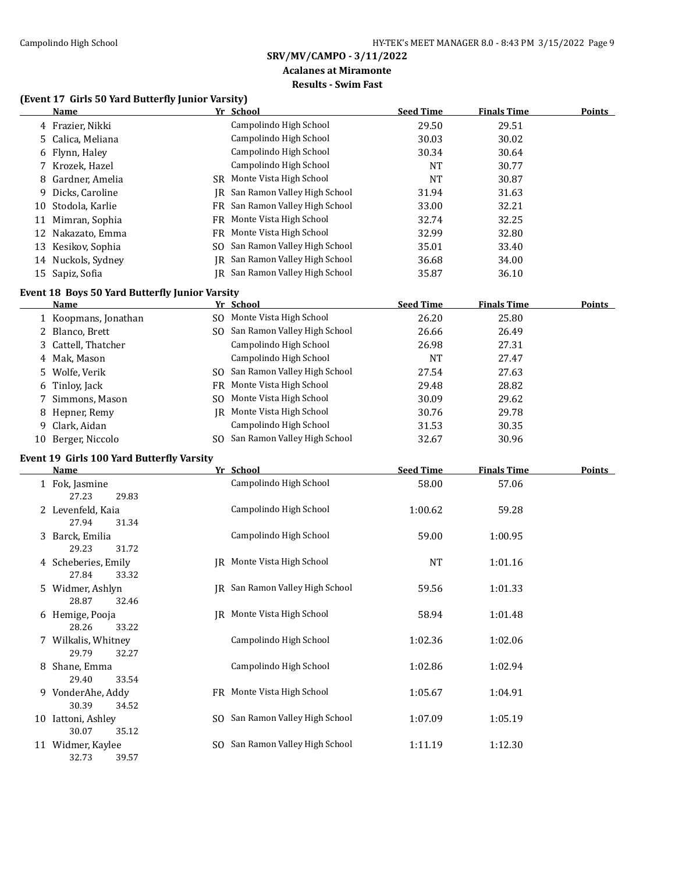#### **Acalanes at Miramonte Results - Swim Fast**

#### **(Event 17 Girls 50 Yard Butterfly Junior Varsity)**

|    | <b>Name</b>                                                   |     | Yr School                       | <b>Seed Time</b> | <b>Finals Time</b> | <b>Points</b> |
|----|---------------------------------------------------------------|-----|---------------------------------|------------------|--------------------|---------------|
|    | 4 Frazier, Nikki                                              |     | Campolindo High School          | 29.50            | 29.51              |               |
| 5  | Calica, Meliana                                               |     | Campolindo High School          | 30.03            | 30.02              |               |
| 6  | Flynn, Haley                                                  |     | Campolindo High School          | 30.34            | 30.64              |               |
|    | 7 Krozek, Hazel                                               |     | Campolindo High School          | <b>NT</b>        | 30.77              |               |
| 8  | Gardner, Amelia                                               |     | SR Monte Vista High School      | <b>NT</b>        | 30.87              |               |
| 9  | Dicks, Caroline                                               | IR  | San Ramon Valley High School    | 31.94            | 31.63              |               |
| 10 | Stodola, Karlie                                               |     | FR San Ramon Valley High School | 33.00            | 32.21              |               |
| 11 | Mimran, Sophia                                                |     | FR Monte Vista High School      | 32.74            | 32.25              |               |
| 12 | Nakazato, Emma                                                |     | FR Monte Vista High School      | 32.99            | 32.80              |               |
|    | 13 Kesikov, Sophia                                            | SO. | San Ramon Valley High School    | 35.01            | 33.40              |               |
|    | 14 Nuckols, Sydney                                            | IR  | San Ramon Valley High School    | 36.68            | 34.00              |               |
|    | 15 Sapiz, Sofia                                               |     | JR San Ramon Valley High School | 35.87            | 36.10              |               |
|    |                                                               |     |                                 |                  |                    |               |
|    | Event 18 Boys 50 Yard Butterfly Junior Varsity<br><u>Name</u> |     | Yr School                       | <b>Seed Time</b> | <b>Finals Time</b> | <b>Points</b> |
|    | 1 Koopmans, Jonathan                                          |     | SO Monte Vista High School      | 26.20            | 25.80              |               |
|    | 2 Blanco, Brett                                               |     | SO San Ramon Valley High School | 26.66            | 26.49              |               |
| 3  | Cattell, Thatcher                                             |     | Campolindo High School          | 26.98            | 27.31              |               |
|    | 4 Mak, Mason                                                  |     | Campolindo High School          | <b>NT</b>        | 27.47              |               |
|    | Wolfe, Verik                                                  |     | San Ramon Valley High School    | 27.54            | 27.63              |               |
| 5. | Tinloy, Jack                                                  | SO. | Monte Vista High School         | 29.48            | 28.82              |               |
| 6  |                                                               | FR  | Monte Vista High School         | 30.09            | 29.62              |               |
| 7  | Simmons, Mason                                                | SO. |                                 |                  |                    |               |
| 8  | Hepner, Remy                                                  |     | JR Monte Vista High School      | 30.76            | 29.78              |               |
| 9. | Clark, Aidan                                                  |     | Campolindo High School          | 31.53            | 30.35              |               |
|    | 10 Berger, Niccolo                                            |     | SO San Ramon Valley High School | 32.67            | 30.96              |               |
|    | Event 19 Girls 100 Yard Butterfly Varsity                     |     |                                 |                  |                    |               |
|    | Name                                                          |     | Yr School                       | <b>Seed Time</b> | <b>Finals Time</b> | <u>Points</u> |
|    | 1 Fok, Jasmine<br>27.23<br>29.83                              |     | Campolindo High School          | 58.00            | 57.06              |               |
|    | 2 Levenfeld, Kaia                                             |     | Campolindo High School          | 1:00.62          | 59.28              |               |
|    | 27.94<br>31.34                                                |     |                                 |                  |                    |               |
|    | 3 Barck, Emilia                                               |     | Campolindo High School          | 59.00            | 1:00.95            |               |
|    | 29.23<br>31.72                                                |     |                                 |                  |                    |               |
|    | 4 Scheberies, Emily                                           |     | IR Monte Vista High School      | NT               | 1:01.16            |               |
|    | 27.84<br>33.32                                                |     |                                 |                  |                    |               |
|    | 5 Widmer, Ashlyn                                              |     | JR San Ramon Valley High School |                  | 1:01.33            |               |
|    |                                                               |     |                                 |                  |                    |               |
|    |                                                               |     |                                 | 59.56            |                    |               |
|    | 28.87<br>32.46                                                |     |                                 |                  |                    |               |
|    | 6 Hemige, Pooja                                               |     | JR Monte Vista High School      | 58.94            | 1:01.48            |               |
|    | 28.26<br>33.22                                                |     |                                 |                  |                    |               |
|    | 7 Wilkalis, Whitney                                           |     | Campolindo High School          | 1:02.36          | 1:02.06            |               |
|    | 29.79<br>32.27                                                |     |                                 |                  |                    |               |
|    | 8 Shane, Emma                                                 |     | Campolindo High School          | 1:02.86          | 1:02.94            |               |
|    | 29.40<br>33.54                                                |     |                                 |                  |                    |               |
|    | 9 VonderAhe, Addy                                             |     | FR Monte Vista High School      | 1:05.67          | 1:04.91            |               |
|    | 30.39<br>34.52                                                |     |                                 |                  |                    |               |
|    | 10 Iattoni, Ashley                                            |     | SO San Ramon Valley High School | 1:07.09          | 1:05.19            |               |
|    | 30.07<br>35.12<br>11 Widmer, Kaylee                           |     | SO San Ramon Valley High School | 1:11.19          | 1:12.30            |               |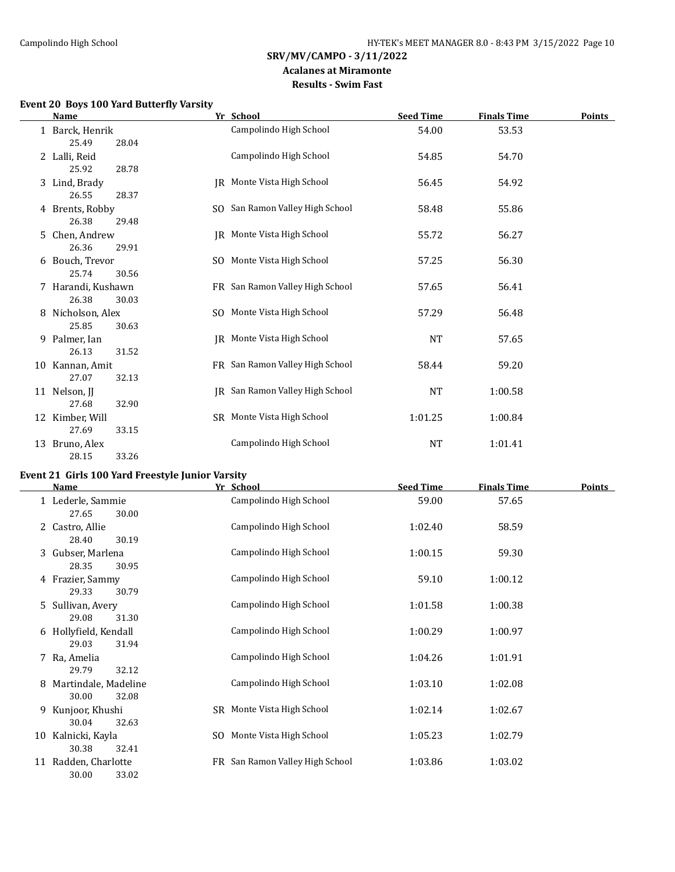#### **Acalanes at Miramonte Results - Swim Fast**

# **Event 20 Boys 100 Yard Butterfly Varsity**

|    | <b>Name</b>                         |     | Yr School                       | <b>Seed Time</b> | <u>Finals Time</u> | <b>Points</b> |
|----|-------------------------------------|-----|---------------------------------|------------------|--------------------|---------------|
|    | 1 Barck, Henrik                     |     | Campolindo High School          | 54.00            | 53.53              |               |
|    | 25.49<br>28.04                      |     |                                 |                  |                    |               |
|    | 2 Lalli, Reid<br>25.92<br>28.78     |     | Campolindo High School          | 54.85            | 54.70              |               |
|    | 3 Lind, Brady                       |     | JR Monte Vista High School      | 56.45            | 54.92              |               |
|    | 26.55<br>28.37                      |     |                                 |                  |                    |               |
|    | 4 Brents, Robby                     |     | SO San Ramon Valley High School | 58.48            | 55.86              |               |
|    | 26.38<br>29.48                      |     |                                 |                  |                    |               |
|    | 5 Chen, Andrew                      |     | IR Monte Vista High School      | 55.72            | 56.27              |               |
|    | 26.36<br>29.91                      |     |                                 |                  |                    |               |
|    | 6 Bouch, Trevor                     | SO. | Monte Vista High School         | 57.25            | 56.30              |               |
|    | 25.74<br>30.56                      |     |                                 |                  |                    |               |
|    | 7 Harandi, Kushawn                  |     | FR San Ramon Valley High School | 57.65            | 56.41              |               |
|    | 26.38<br>30.03                      |     |                                 |                  |                    |               |
|    | 8 Nicholson, Alex<br>25.85<br>30.63 |     | SO Monte Vista High School      | 57.29            | 56.48              |               |
|    | 9 Palmer, Ian                       |     | IR Monte Vista High School      | <b>NT</b>        | 57.65              |               |
|    | 26.13<br>31.52                      |     |                                 |                  |                    |               |
|    | 10 Kannan, Amit                     |     | FR San Ramon Valley High School | 58.44            | 59.20              |               |
|    | 27.07<br>32.13                      |     |                                 |                  |                    |               |
|    | 11 Nelson, JJ                       |     | IR San Ramon Valley High School | NT               | 1:00.58            |               |
|    | 32.90<br>27.68                      |     |                                 |                  |                    |               |
|    | 12 Kimber, Will                     |     | SR Monte Vista High School      | 1:01.25          | 1:00.84            |               |
|    | 27.69<br>33.15                      |     |                                 |                  |                    |               |
| 13 | Bruno, Alex                         |     | Campolindo High School          | NT               | 1:01.41            |               |
|    | 33.26<br>28.15                      |     |                                 |                  |                    |               |

# **Event 21 Girls 100 Yard Freestyle Junior Varsity**

|    | <b>Name</b>                             | Yr School                       | <b>Seed Time</b> | <b>Finals Time</b> | <b>Points</b> |
|----|-----------------------------------------|---------------------------------|------------------|--------------------|---------------|
|    | 1 Lederle, Sammie<br>27.65<br>30.00     | Campolindo High School          | 59.00            | 57.65              |               |
|    | 2 Castro, Allie<br>28.40<br>30.19       | Campolindo High School          | 1:02.40          | 58.59              |               |
|    | 3 Gubser, Marlena<br>28.35<br>30.95     | Campolindo High School          | 1:00.15          | 59.30              |               |
|    | 4 Frazier, Sammy<br>29.33<br>30.79      | Campolindo High School          | 59.10            | 1:00.12            |               |
|    | 5 Sullivan, Avery<br>29.08<br>31.30     | Campolindo High School          | 1:01.58          | 1:00.38            |               |
|    | 6 Hollyfield, Kendall<br>29.03<br>31.94 | Campolindo High School          | 1:00.29          | 1:00.97            |               |
|    | 7 Ra, Amelia<br>29.79<br>32.12          | Campolindo High School          | 1:04.26          | 1:01.91            |               |
| 8  | Martindale, Madeline<br>30.00<br>32.08  | Campolindo High School          | 1:03.10          | 1:02.08            |               |
|    | 9 Kunjoor, Khushi<br>30.04<br>32.63     | SR Monte Vista High School      | 1:02.14          | 1:02.67            |               |
| 10 | Kalnicki, Kayla<br>30.38<br>32.41       | SO Monte Vista High School      | 1:05.23          | 1:02.79            |               |
| 11 | Radden, Charlotte<br>30.00<br>33.02     | FR San Ramon Valley High School | 1:03.86          | 1:03.02            |               |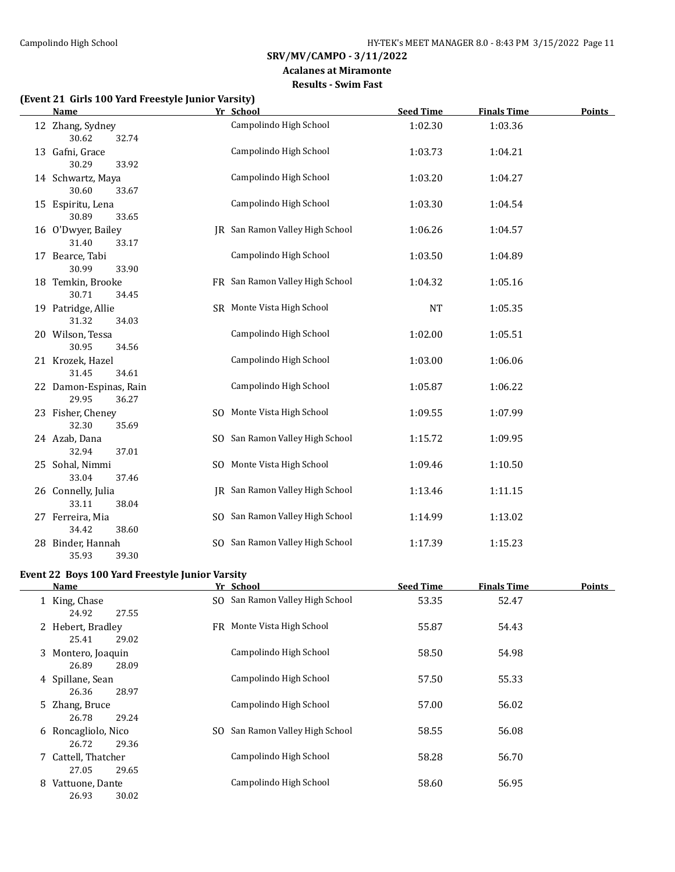#### **Acalanes at Miramonte Results - Swim Fast**

# **(Event 21 Girls 100 Yard Freestyle Junior Varsity)**

| <b>Name</b>                              |    | Yr School                       | <b>Seed Time</b> | <b>Finals Time</b> | <b>Points</b> |
|------------------------------------------|----|---------------------------------|------------------|--------------------|---------------|
| 12 Zhang, Sydney<br>30.62<br>32.74       |    | Campolindo High School          | 1:02.30          | 1:03.36            |               |
| 13 Gafni, Grace<br>30.29<br>33.92        |    | Campolindo High School          | 1:03.73          | 1:04.21            |               |
| 14 Schwartz, Maya<br>30.60<br>33.67      |    | Campolindo High School          | 1:03.20          | 1:04.27            |               |
| 15 Espiritu, Lena<br>30.89<br>33.65      |    | Campolindo High School          | 1:03.30          | 1:04.54            |               |
| 16 O'Dwyer, Bailey<br>31.40<br>33.17     | IR | San Ramon Valley High School    | 1:06.26          | 1:04.57            |               |
| 17 Bearce, Tabi<br>30.99<br>33.90        |    | Campolindo High School          | 1:03.50          | 1:04.89            |               |
| 18 Temkin, Brooke<br>30.71<br>34.45      |    | FR San Ramon Valley High School | 1:04.32          | 1:05.16            |               |
| 19 Patridge, Allie<br>31.32<br>34.03     |    | SR Monte Vista High School      | <b>NT</b>        | 1:05.35            |               |
| 20 Wilson, Tessa<br>30.95<br>34.56       |    | Campolindo High School          | 1:02.00          | 1:05.51            |               |
| 21 Krozek, Hazel<br>31.45<br>34.61       |    | Campolindo High School          | 1:03.00          | 1:06.06            |               |
| 22 Damon-Espinas, Rain<br>29.95<br>36.27 |    | Campolindo High School          | 1:05.87          | 1:06.22            |               |
| 23 Fisher, Cheney<br>32.30<br>35.69      |    | SO Monte Vista High School      | 1:09.55          | 1:07.99            |               |
| 24 Azab, Dana<br>32.94<br>37.01          |    | SO San Ramon Valley High School | 1:15.72          | 1:09.95            |               |
| 25 Sohal, Nimmi<br>33.04<br>37.46        |    | SO Monte Vista High School      | 1:09.46          | 1:10.50            |               |
| 26 Connelly, Julia<br>33.11<br>38.04     |    | IR San Ramon Valley High School | 1:13.46          | 1:11.15            |               |
| 27 Ferreira, Mia<br>34.42<br>38.60       |    | SO San Ramon Valley High School | 1:14.99          | 1:13.02            |               |
| 28 Binder, Hannah<br>35.93<br>39.30      |    | SO San Ramon Valley High School | 1:17.39          | 1:15.23            |               |

#### **Event 22 Boys 100 Yard Freestyle Junior Varsity**

| <b>Name</b>                            | Yr School                       | <b>Seed Time</b> | <b>Finals Time</b> | <b>Points</b> |
|----------------------------------------|---------------------------------|------------------|--------------------|---------------|
| 1 King, Chase<br>24.92<br>27.55        | SO San Ramon Valley High School | 53.35            | 52.47              |               |
| 2 Hebert, Bradley<br>29.02<br>25.41    | FR Monte Vista High School      | 55.87            | 54.43              |               |
| 3 Montero, Joaquin<br>26.89<br>28.09   | Campolindo High School          | 58.50            | 54.98              |               |
| 4 Spillane, Sean<br>26.36<br>28.97     | Campolindo High School          | 57.50            | 55.33              |               |
| 5 Zhang, Bruce<br>26.78<br>29.24       | Campolindo High School          | 57.00            | 56.02              |               |
| 6 Roncagliolo, Nico<br>26.72<br>29.36  | SO San Ramon Valley High School | 58.55            | 56.08              |               |
| 7 Cattell, Thatcher<br>29.65<br>27.05  | Campolindo High School          | 58.28            | 56.70              |               |
| Vattuone, Dante<br>8<br>30.02<br>26.93 | Campolindo High School          | 58.60            | 56.95              |               |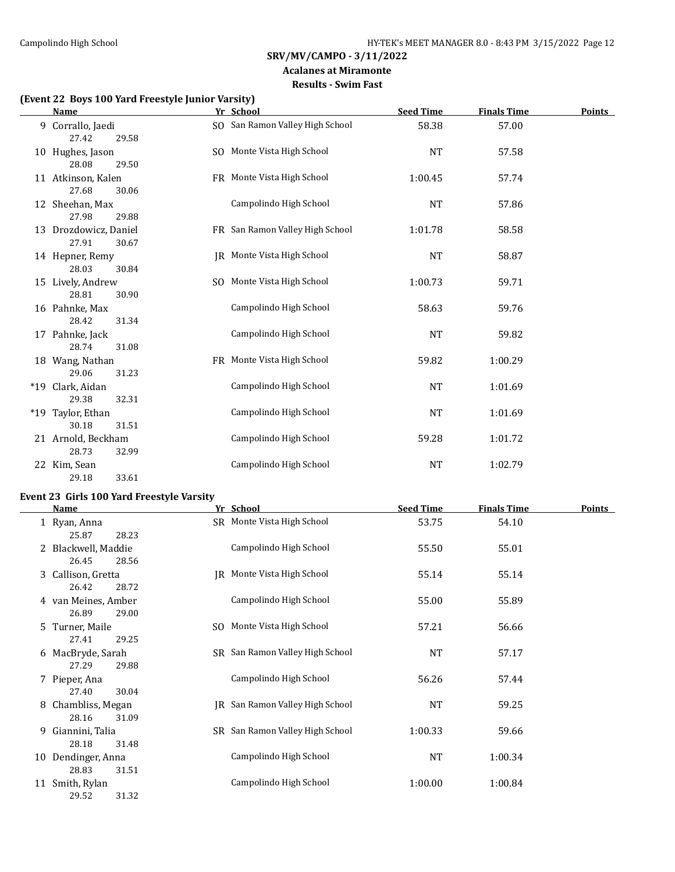# **Acalanes at Miramonte**

# **Results - Swim Fast**

#### **(Event 22 Boys 100 Yard Freestyle Junior Varsity)**

29.52 31.32

| <b>Name</b>                               | Yr School                       | <b>Seed Time</b> | <b>Finals Time</b> | <b>Points</b> |
|-------------------------------------------|---------------------------------|------------------|--------------------|---------------|
| 9 Corrallo, Jaedi<br>27.42<br>29.58       | SO San Ramon Valley High School | 58.38            | 57.00              |               |
| 10 Hughes, Jason<br>28.08<br>29.50        | SO Monte Vista High School      | <b>NT</b>        | 57.58              |               |
| 11 Atkinson, Kalen<br>27.68<br>30.06      | FR Monte Vista High School      | 1:00.45          | 57.74              |               |
| 12 Sheehan, Max<br>27.98<br>29.88         | Campolindo High School          | <b>NT</b>        | 57.86              |               |
| 13 Drozdowicz, Daniel<br>27.91<br>30.67   | FR San Ramon Valley High School | 1:01.78          | 58.58              |               |
| 14 Hepner, Remy<br>28.03<br>30.84         | JR Monte Vista High School      | <b>NT</b>        | 58.87              |               |
| 15 Lively, Andrew<br>28.81<br>30.90       | SO Monte Vista High School      | 1:00.73          | 59.71              |               |
| 16 Pahnke, Max<br>28.42<br>31.34          | Campolindo High School          | 58.63            | 59.76              |               |
| 17 Pahnke, Jack<br>28.74<br>31.08         | Campolindo High School          | <b>NT</b>        | 59.82              |               |
| 18 Wang, Nathan<br>29.06<br>31.23         | FR Monte Vista High School      | 59.82            | 1:00.29            |               |
| *19 Clark, Aidan<br>29.38<br>32.31        | Campolindo High School          | <b>NT</b>        | 1:01.69            |               |
| *19 Taylor, Ethan<br>30.18<br>31.51       | Campolindo High School          | <b>NT</b>        | 1:01.69            |               |
| 21 Arnold, Beckham<br>28.73<br>32.99      | Campolindo High School          | 59.28            | 1:01.72            |               |
| 22 Kim, Sean<br>29.18<br>33.61            | Campolindo High School          | <b>NT</b>        | 1:02.79            |               |
| Event 23 Girls 100 Yard Freestyle Varsity |                                 |                  |                    |               |
| <b>Name</b>                               | Yr School                       | <b>Seed Time</b> | <b>Finals Time</b> | <b>Points</b> |
| 1 Ryan, Anna<br>25.87<br>28.23            | SR Monte Vista High School      | 53.75            | 54.10              |               |
| 2 Blackwell, Maddie<br>26.45<br>28.56     | Campolindo High School          | 55.50            | 55.01              |               |
| 3 Callison, Gretta<br>26.42<br>28.72      | JR Monte Vista High School      | 55.14            | 55.14              |               |
| 4 van Meines, Amber                       | Campolindo High School          | 55.00            | 55.89              |               |

| 4 van Meines, Amber |       |     | Campolindo High School          | 55.00     | 55.89   |
|---------------------|-------|-----|---------------------------------|-----------|---------|
| 26.89               | 29.00 |     |                                 |           |         |
| 5 Turner. Maile     |       | SO. | Monte Vista High School         | 57.21     | 56.66   |
| 27.41               | 29.25 |     |                                 |           |         |
| 6 MacBryde, Sarah   |       |     | SR San Ramon Valley High School | <b>NT</b> | 57.17   |
| 27.29               | 29.88 |     |                                 |           |         |
| 7 Pieper, Ana       |       |     | Campolindo High School          | 56.26     | 57.44   |
| 27.40               | 30.04 |     |                                 |           |         |
| 8 Chambliss, Megan  |       |     | IR San Ramon Valley High School | <b>NT</b> | 59.25   |
| 28.16               | 31.09 |     |                                 |           |         |
| 9 Giannini, Talia   |       |     | SR San Ramon Valley High School | 1:00.33   | 59.66   |
| 28.18               | 31.48 |     |                                 |           |         |
| 10 Dendinger, Anna  |       |     | Campolindo High School          | <b>NT</b> | 1:00.34 |
| 28.83               | 31.51 |     |                                 |           |         |
| 11 Smith, Rylan     |       |     | Campolindo High School          | 1:00.00   | 1:00.84 |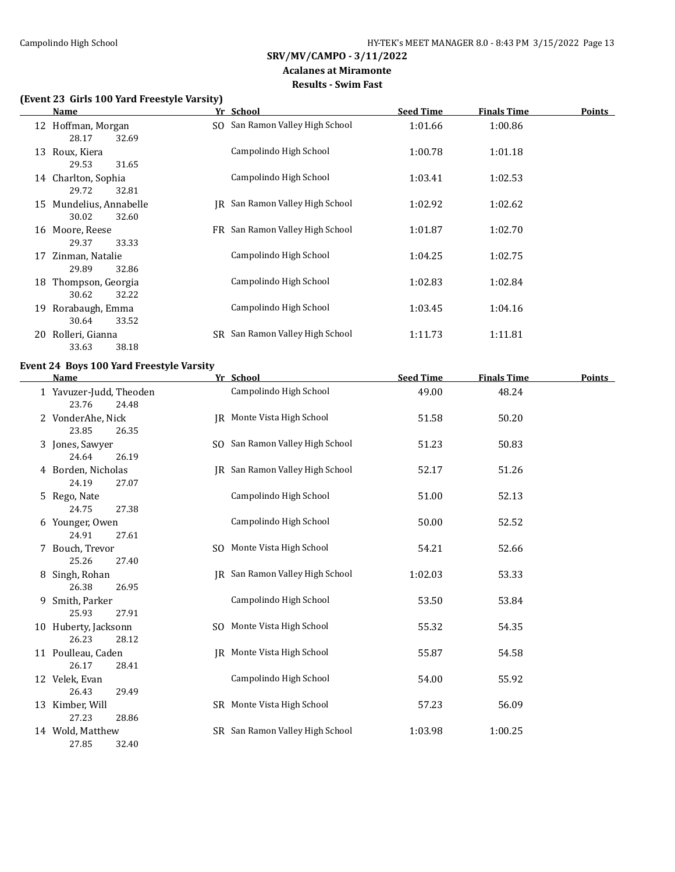#### **Acalanes at Miramonte Results - Swim Fast**

# **(Event 23 Girls 100 Yard Freestyle Varsity)**

|    | Name                 | Yr School                       | <b>Seed Time</b> | <b>Finals Time</b> | <b>Points</b> |
|----|----------------------|---------------------------------|------------------|--------------------|---------------|
|    | 12 Hoffman, Morgan   | SO San Ramon Valley High School | 1:01.66          | 1:00.86            |               |
|    | 28.17<br>32.69       |                                 |                  |                    |               |
| 13 | Roux, Kiera          | Campolindo High School          | 1:00.78          | 1:01.18            |               |
|    | 29.53<br>31.65       |                                 |                  |                    |               |
|    | 14 Charlton, Sophia  | Campolindo High School          | 1:03.41          | 1:02.53            |               |
|    | 29.72<br>32.81       |                                 |                  |                    |               |
| 15 | Mundelius, Annabelle | IR San Ramon Valley High School | 1:02.92          | 1:02.62            |               |
|    | 30.02<br>32.60       |                                 |                  |                    |               |
|    | 16 Moore, Reese      | FR San Ramon Valley High School | 1:01.87          | 1:02.70            |               |
|    | 29.37<br>33.33       |                                 |                  |                    |               |
| 17 | Zinman, Natalie      | Campolindo High School          | 1:04.25          | 1:02.75            |               |
|    | 32.86<br>29.89       |                                 |                  |                    |               |
| 18 | Thompson, Georgia    | Campolindo High School          | 1:02.83          | 1:02.84            |               |
|    | 30.62<br>32.22       |                                 |                  |                    |               |
| 19 | Rorabaugh, Emma      | Campolindo High School          | 1:03.45          | 1:04.16            |               |
|    | 33.52<br>30.64       |                                 |                  |                    |               |
|    |                      |                                 |                  |                    |               |
| 20 | Rolleri, Gianna      | SR San Ramon Valley High School | 1:11.73          | 1:11.81            |               |
|    | 33.63<br>38.18       |                                 |                  |                    |               |

# **Event 24 Boys 100 Yard Freestyle Varsity**

|   | <b>Name</b>                               | Yr School                       | <b>Seed Time</b> | <b>Finals Time</b> | <b>Points</b> |
|---|-------------------------------------------|---------------------------------|------------------|--------------------|---------------|
|   | 1 Yavuzer-Judd, Theoden<br>23.76<br>24.48 | Campolindo High School          | 49.00            | 48.24              |               |
|   | 2 VonderAhe, Nick<br>23.85<br>26.35       | JR Monte Vista High School      | 51.58            | 50.20              |               |
|   | 3 Jones, Sawyer<br>24.64<br>26.19         | SO San Ramon Valley High School | 51.23            | 50.83              |               |
|   | 4 Borden, Nicholas<br>24.19<br>27.07      | JR San Ramon Valley High School | 52.17            | 51.26              |               |
|   | 5 Rego, Nate<br>24.75<br>27.38            | Campolindo High School          | 51.00            | 52.13              |               |
|   | 6 Younger, Owen<br>24.91<br>27.61         | Campolindo High School          | 50.00            | 52.52              |               |
|   | 7 Bouch, Trevor<br>25.26<br>27.40         | SO Monte Vista High School      | 54.21            | 52.66              |               |
|   | 8 Singh, Rohan<br>26.38<br>26.95          | IR San Ramon Valley High School | 1:02.03          | 53.33              |               |
| 9 | Smith, Parker<br>25.93<br>27.91           | Campolindo High School          | 53.50            | 53.84              |               |
|   | 10 Huberty, Jacksonn<br>26.23<br>28.12    | SO Monte Vista High School      | 55.32            | 54.35              |               |
|   | 11 Poulleau, Caden<br>26.17<br>28.41      | IR Monte Vista High School      | 55.87            | 54.58              |               |
|   | 12 Velek, Evan<br>26.43<br>29.49          | Campolindo High School          | 54.00            | 55.92              |               |
|   | 13 Kimber, Will<br>27.23<br>28.86         | SR Monte Vista High School      | 57.23            | 56.09              |               |
|   | 14 Wold, Matthew<br>27.85<br>32.40        | SR San Ramon Valley High School | 1:03.98          | 1:00.25            |               |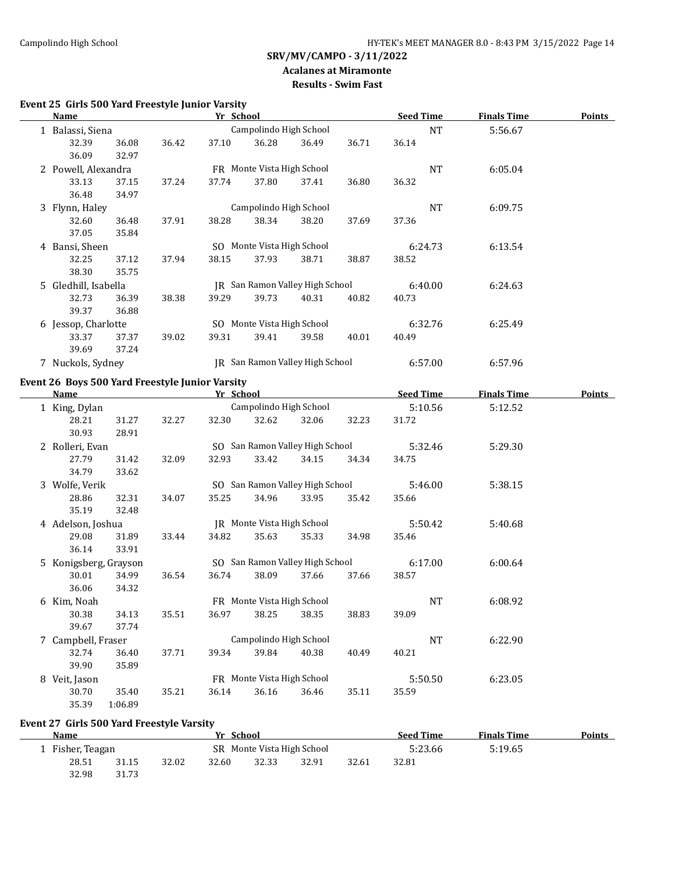#### **Acalanes at Miramonte Results - Swim Fast**

# **Event 25 Girls 500 Yard Freestyle Junior Varsity**

| <b>Name</b>                                     |                |       | Yr School |                            |                                 |       | <b>Seed Time</b> | <b>Finals Time</b> | <b>Points</b> |
|-------------------------------------------------|----------------|-------|-----------|----------------------------|---------------------------------|-------|------------------|--------------------|---------------|
| 1 Balassi, Siena                                |                |       |           | Campolindo High School     |                                 |       | NT               | 5:56.67            |               |
| 32.39<br>36.09                                  | 36.08<br>32.97 | 36.42 | 37.10     | 36.28                      | 36.49                           | 36.71 | 36.14            |                    |               |
| 2 Powell, Alexandra                             |                |       |           | FR Monte Vista High School |                                 |       | NT               | 6:05.04            |               |
| 33.13                                           | 37.15          | 37.24 | 37.74     | 37.80                      | 37.41                           | 36.80 | 36.32            |                    |               |
| 36.48                                           | 34.97          |       |           |                            |                                 |       |                  |                    |               |
| 3 Flynn, Haley                                  |                |       |           | Campolindo High School     |                                 |       | NT               | 6:09.75            |               |
| 32.60                                           | 36.48          | 37.91 | 38.28     | 38.34                      | 38.20                           | 37.69 | 37.36            |                    |               |
| 37.05                                           | 35.84          |       |           |                            |                                 |       |                  |                    |               |
| 4 Bansi, Sheen                                  |                |       |           | SO Monte Vista High School |                                 |       | 6:24.73          | 6:13.54            |               |
| 32.25                                           | 37.12          | 37.94 | 38.15     | 37.93                      | 38.71                           | 38.87 | 38.52            |                    |               |
| 38.30                                           | 35.75          |       |           |                            |                                 |       |                  |                    |               |
| 5 Gledhill, Isabella                            |                |       |           |                            | JR San Ramon Valley High School |       | 6:40.00          | 6:24.63            |               |
| 32.73                                           | 36.39          | 38.38 | 39.29     | 39.73                      | 40.31                           | 40.82 | 40.73            |                    |               |
| 39.37                                           | 36.88          |       |           |                            |                                 |       |                  |                    |               |
| 6 Jessop, Charlotte                             |                |       |           | SO Monte Vista High School |                                 |       | 6:32.76          | 6:25.49            |               |
| 33.37                                           | 37.37          | 39.02 | 39.31     | 39.41                      | 39.58                           | 40.01 | 40.49            |                    |               |
| 39.69                                           | 37.24          |       |           |                            |                                 |       |                  |                    |               |
| 7 Nuckols, Sydney                               |                |       |           |                            | JR San Ramon Valley High School |       | 6:57.00          | 6:57.96            |               |
| Event 26 Boys 500 Yard Freestyle Junior Varsity |                |       |           |                            |                                 |       |                  |                    |               |
| <b>Name</b>                                     |                |       |           | Yr School                  |                                 |       | <b>Seed Time</b> | <b>Finals Time</b> | <b>Points</b> |
| 1 King, Dylan                                   |                |       |           | Campolindo High School     |                                 |       | 5:10.56          | 5:12.52            |               |
| 28.21                                           | 31.27          | 32.27 | 32.30     | 32.62                      | 32.06                           | 32.23 | 31.72            |                    |               |
| 30.93                                           | 28.91          |       |           |                            |                                 |       |                  |                    |               |
| 2 Rolleri, Evan                                 |                |       |           |                            | SO San Ramon Valley High School |       | 5:32.46          | 5:29.30            |               |
| 27.79                                           | 31.42          | 32.09 | 32.93     | 33.42                      | 34.15                           | 34.34 | 34.75            |                    |               |
| 34.79                                           | 33.62          |       |           |                            |                                 |       |                  |                    |               |
| 3 Wolfe, Verik                                  |                |       |           |                            | SO San Ramon Valley High School |       | 5:46.00          | 5:38.15            |               |
| 28.86                                           | 32.31          | 34.07 | 35.25     | 34.96                      | 33.95                           | 35.42 | 35.66            |                    |               |
| 35.19                                           | 32.48          |       |           |                            |                                 |       |                  |                    |               |
| 4 Adelson, Joshua                               |                |       |           | JR Monte Vista High School |                                 |       | 5:50.42          | 5:40.68            |               |
| 29.08                                           | 31.89          | 33.44 | 34.82     | 35.63                      | 35.33                           | 34.98 | 35.46            |                    |               |
| 36.14                                           | 33.91          |       |           |                            |                                 |       |                  |                    |               |
| 5 Konigsberg, Grayson                           |                |       |           |                            | SO San Ramon Valley High School |       | 6:17.00          | 6:00.64            |               |
| 30.01                                           | 34.99          | 36.54 | 36.74     | 38.09                      | 37.66                           | 37.66 | 38.57            |                    |               |
| 36.06                                           | 34.32          |       |           |                            |                                 |       |                  |                    |               |
| 6 Kim, Noah                                     |                |       |           | FR Monte Vista High School |                                 |       | NT               | 6:08.92            |               |
| 30.38                                           | 34.13          | 35.51 | 36.97     | 38.25                      | 38.35                           | 38.83 | 39.09            |                    |               |
| 39.67                                           | 37.74          |       |           |                            |                                 |       |                  |                    |               |
| 7 Campbell, Fraser                              |                |       |           | Campolindo High School     |                                 |       | NT               | 6:22.90            |               |
| 32.74                                           | 36.40          | 37.71 | 39.34     | 39.84                      | 40.38                           | 40.49 | 40.21            |                    |               |
| 39.90                                           | 35.89          |       |           |                            |                                 |       |                  |                    |               |
| 8 Veit, Jason                                   |                |       |           | FR Monte Vista High School |                                 |       | 5:50.50          | 6:23.05            |               |
| 30.70                                           | 35.40          | 35.21 | 36.14     | 36.16                      | 36.46                           | 35.11 | 35.59            |                    |               |
| 35.39                                           | 1:06.89        |       |           |                            |                                 |       |                  |                    |               |

# **Event 27 Girls 500 Yard Freestyle Varsity**

| Name             |       |                            | Yr School |       |         |         | <b>Seed Time</b> | <b>Finals Time</b> | <b>Points</b> |
|------------------|-------|----------------------------|-----------|-------|---------|---------|------------------|--------------------|---------------|
| 1 Fisher, Teagan |       | SR Monte Vista High School |           |       | 5:23.66 | 5:19.65 |                  |                    |               |
| 28.51            | 31.15 | 32.02                      | 32.60     | 32.33 | 32.91   | 32.61   | 32.81            |                    |               |
| 32.98            | 31.73 |                            |           |       |         |         |                  |                    |               |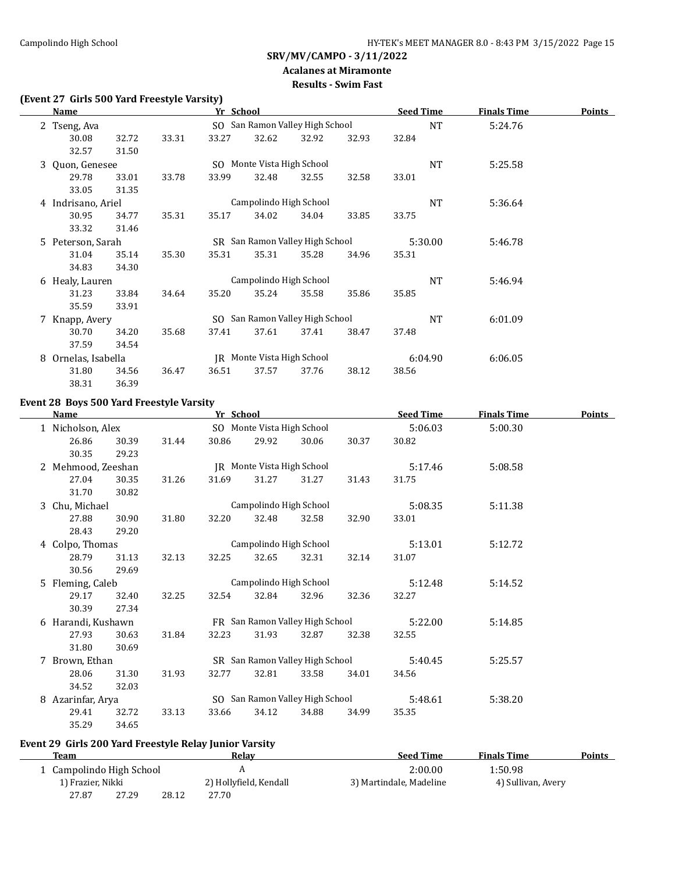# **Acalanes at Miramonte**

# **Results - Swim Fast**

# **(Event 27 Girls 500 Yard Freestyle Varsity)**

|    | <b>Name</b>        |       |       | Yr School |                            |                                 |       | <b>Seed Time</b> | <b>Finals Time</b> | <b>Points</b> |
|----|--------------------|-------|-------|-----------|----------------------------|---------------------------------|-------|------------------|--------------------|---------------|
|    | 2 Tseng, Ava       |       |       |           |                            | SO San Ramon Valley High School |       | <b>NT</b>        | 5:24.76            |               |
|    | 30.08              | 32.72 | 33.31 | 33.27     | 32.62                      | 32.92                           | 32.93 | 32.84            |                    |               |
|    | 32.57              | 31.50 |       |           |                            |                                 |       |                  |                    |               |
|    | 3 Quon, Genesee    |       |       |           | SO Monte Vista High School |                                 |       | <b>NT</b>        | 5:25.58            |               |
|    | 29.78              | 33.01 | 33.78 | 33.99     | 32.48                      | 32.55                           | 32.58 | 33.01            |                    |               |
|    | 33.05              | 31.35 |       |           |                            |                                 |       |                  |                    |               |
|    | 4 Indrisano, Ariel |       |       |           | Campolindo High School     |                                 |       | NT               | 5:36.64            |               |
|    | 30.95              | 34.77 | 35.31 | 35.17     | 34.02                      | 34.04                           | 33.85 | 33.75            |                    |               |
|    | 33.32              | 31.46 |       |           |                            |                                 |       |                  |                    |               |
| 5. | Peterson, Sarah    |       |       |           |                            | SR San Ramon Valley High School |       | 5:30.00          | 5:46.78            |               |
|    | 31.04              | 35.14 | 35.30 | 35.31     | 35.31                      | 35.28                           | 34.96 | 35.31            |                    |               |
|    | 34.83              | 34.30 |       |           |                            |                                 |       |                  |                    |               |
|    | 6 Healy, Lauren    |       |       |           | Campolindo High School     |                                 |       | <b>NT</b>        | 5:46.94            |               |
|    | 31.23              | 33.84 | 34.64 | 35.20     | 35.24                      | 35.58                           | 35.86 | 35.85            |                    |               |
|    | 35.59              | 33.91 |       |           |                            |                                 |       |                  |                    |               |
|    | 7 Knapp, Avery     |       |       |           |                            | SO San Ramon Valley High School |       | <b>NT</b>        | 6:01.09            |               |
|    | 30.70              | 34.20 | 35.68 | 37.41     | 37.61                      | 37.41                           | 38.47 | 37.48            |                    |               |
|    | 37.59              | 34.54 |       |           |                            |                                 |       |                  |                    |               |
| 8  | Ornelas, Isabella  |       |       |           | JR Monte Vista High School |                                 |       | 6:04.90          | 6:06.05            |               |
|    | 31.80              | 34.56 | 36.47 | 36.51     | 37.57                      | 37.76                           | 38.12 | 38.56            |                    |               |
|    | 38.31              | 36.39 |       |           |                            |                                 |       |                  |                    |               |

# **Event 28 Boys 500 Yard Freestyle Varsity**

L,

|   | <b>Name</b>        |       |       | Yr School |                            |                                 |       | <b>Seed Time</b> | <b>Finals Time</b> | <b>Points</b> |
|---|--------------------|-------|-------|-----------|----------------------------|---------------------------------|-------|------------------|--------------------|---------------|
|   | Nicholson, Alex    |       |       |           | SO Monte Vista High School |                                 |       | 5:06.03          | 5:00.30            |               |
|   | 26.86              | 30.39 | 31.44 | 30.86     | 29.92                      | 30.06                           | 30.37 | 30.82            |                    |               |
|   | 30.35              | 29.23 |       |           |                            |                                 |       |                  |                    |               |
| 2 | Mehmood, Zeeshan   |       |       |           | JR Monte Vista High School |                                 |       | 5:17.46          | 5:08.58            |               |
|   | 27.04              | 30.35 | 31.26 | 31.69     | 31.27                      | 31.27                           | 31.43 | 31.75            |                    |               |
|   | 31.70              | 30.82 |       |           |                            |                                 |       |                  |                    |               |
| 3 | Chu, Michael       |       |       |           | Campolindo High School     |                                 |       | 5:08.35          | 5:11.38            |               |
|   | 27.88              | 30.90 | 31.80 | 32.20     | 32.48                      | 32.58                           | 32.90 | 33.01            |                    |               |
|   | 28.43              | 29.20 |       |           |                            |                                 |       |                  |                    |               |
|   | 4 Colpo, Thomas    |       |       |           | Campolindo High School     |                                 |       | 5:13.01          | 5:12.72            |               |
|   | 28.79              | 31.13 | 32.13 | 32.25     | 32.65                      | 32.31                           | 32.14 | 31.07            |                    |               |
|   | 30.56              | 29.69 |       |           |                            |                                 |       |                  |                    |               |
|   | 5 Fleming, Caleb   |       |       |           | Campolindo High School     |                                 |       | 5:12.48          | 5:14.52            |               |
|   | 29.17              | 32.40 | 32.25 | 32.54     | 32.84                      | 32.96                           | 32.36 | 32.27            |                    |               |
|   | 30.39              | 27.34 |       |           |                            |                                 |       |                  |                    |               |
|   | 6 Harandi, Kushawn |       |       |           |                            | FR San Ramon Valley High School |       | 5:22.00          | 5:14.85            |               |
|   | 27.93              | 30.63 | 31.84 | 32.23     | 31.93                      | 32.87                           | 32.38 | 32.55            |                    |               |
|   | 31.80              | 30.69 |       |           |                            |                                 |       |                  |                    |               |
| 7 | Brown, Ethan       |       |       |           |                            | SR San Ramon Valley High School |       | 5:40.45          | 5:25.57            |               |
|   | 28.06              | 31.30 | 31.93 | 32.77     | 32.81                      | 33.58                           | 34.01 | 34.56            |                    |               |
|   | 34.52              | 32.03 |       |           |                            |                                 |       |                  |                    |               |
| 8 | Azarinfar, Arya    |       |       |           |                            | SO San Ramon Valley High School |       | 5:48.61          | 5:38.20            |               |
|   | 29.41              | 32.72 | 33.13 | 33.66     | 34.12                      | 34.88                           | 34.99 | 35.35            |                    |               |
|   | 35.29              | 34.65 |       |           |                            |                                 |       |                  |                    |               |

# **Event 29 Girls 200 Yard Freestyle Relay Junior Varsity**

| Team                     |       |       | Relav                  | <b>Seed Time</b>        | <b>Finals Time</b> | Points |
|--------------------------|-------|-------|------------------------|-------------------------|--------------------|--------|
| 1 Campolindo High School |       |       |                        | 2:00.00                 | 1:50.98            |        |
| 1) Frazier, Nikki        |       |       | 2) Hollyfield, Kendall | 3) Martindale, Madeline | 4) Sullivan, Avery |        |
| 27.87                    | 27.29 | 28.12 | 27.70                  |                         |                    |        |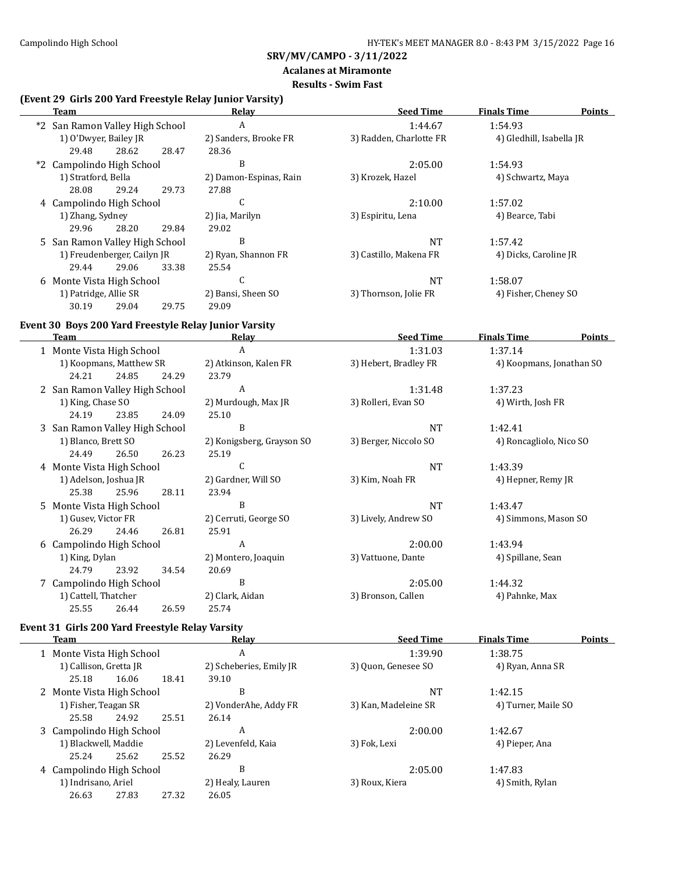$\overline{\phantom{a}}$ 

# **SRV/MV/CAMPO - 3/11/2022**

# **Acalanes at Miramonte**

# **Results - Swim Fast**

#### **(Event 29 Girls 200 Yard Freestyle Relay Junior Varsity)**

| <b>Team</b>                                                                        |       | <b>Relay</b>              | <b>Seed Time</b>        | <b>Finals Time</b>       | <b>Points</b> |
|------------------------------------------------------------------------------------|-------|---------------------------|-------------------------|--------------------------|---------------|
| *2 San Ramon Valley High School                                                    |       | $\boldsymbol{A}$          | 1:44.67                 | 1:54.93                  |               |
| 1) O'Dwyer, Bailey JR                                                              |       | 2) Sanders, Brooke FR     | 3) Radden, Charlotte FR | 4) Gledhill, Isabella JR |               |
| 28.62<br>29.48                                                                     | 28.47 | 28.36                     |                         |                          |               |
| *2 Campolindo High School                                                          |       | B                         | 2:05.00                 | 1:54.93                  |               |
| 1) Stratford, Bella                                                                |       | 2) Damon-Espinas, Rain    | 3) Krozek, Hazel        | 4) Schwartz, Maya        |               |
| 28.08<br>29.24                                                                     | 29.73 | 27.88                     |                         |                          |               |
| 4 Campolindo High School                                                           |       | $\mathsf C$               | 2:10.00                 | 1:57.02                  |               |
| 1) Zhang, Sydney                                                                   |       | 2) Jia, Marilyn           | 3) Espiritu, Lena       | 4) Bearce, Tabi          |               |
| 29.96<br>28.20                                                                     | 29.84 | 29.02                     |                         |                          |               |
| 5 San Ramon Valley High School                                                     |       | B                         | $\rm{NT}$               | 1:57.42                  |               |
| 1) Freudenberger, Cailyn JR                                                        |       | 2) Ryan, Shannon FR       | 3) Castillo, Makena FR  | 4) Dicks, Caroline JR    |               |
| 29.44<br>29.06                                                                     | 33.38 | 25.54                     |                         |                          |               |
| 6 Monte Vista High School                                                          |       | C                         | NT                      | 1:58.07                  |               |
| 1) Patridge, Allie SR                                                              |       | 2) Bansi, Sheen SO        | 3) Thornson, Jolie FR   | 4) Fisher, Cheney SO     |               |
| 30.19<br>29.04                                                                     | 29.75 | 29.09                     |                         |                          |               |
| Event 30 Boys 200 Yard Freestyle Relay Junior Varsity                              |       |                           |                         |                          |               |
| Team<br>the control of the control of the control of the control of the control of |       | Relay                     | <b>Seed Time</b>        | <b>Finals Time</b>       | <b>Points</b> |
| 1 Monte Vista High School                                                          |       | $\mathbf{A}$              | 1:31.03                 | 1:37.14                  |               |
| 1) Koopmans, Matthew SR                                                            |       | 2) Atkinson, Kalen FR     | 3) Hebert, Bradley FR   | 4) Koopmans, Jonathan SO |               |
| 24.21<br>24.85                                                                     | 24.29 | 23.79                     |                         |                          |               |
| 2 San Ramon Valley High School                                                     |       | A                         | 1:31.48                 | 1:37.23                  |               |
| 1) King, Chase SO                                                                  |       | 2) Murdough, Max JR       | 3) Rolleri, Evan SO     | 4) Wirth, Josh FR        |               |
| 24.19<br>23.85                                                                     | 24.09 | 25.10                     |                         |                          |               |
| 3 San Ramon Valley High School                                                     |       | B                         | <b>NT</b>               | 1:42.41                  |               |
| 1) Blanco, Brett SO                                                                |       | 2) Konigsberg, Grayson SO | 3) Berger, Niccolo SO   | 4) Roncagliolo, Nico SO  |               |
| 24.49<br>26.50                                                                     | 26.23 | 25.19                     |                         |                          |               |
| 4 Monte Vista High School                                                          |       | C                         | <b>NT</b>               | 1:43.39                  |               |
| 1) Adelson, Joshua JR                                                              |       | 2) Gardner, Will SO       | 3) Kim, Noah FR         | 4) Hepner, Remy JR       |               |
| 25.38<br>25.96                                                                     | 28.11 | 23.94                     |                         |                          |               |
| 5 Monte Vista High School                                                          |       | B                         | $\rm{NT}$               | 1:43.47                  |               |
| 1) Gusev, Victor FR                                                                |       | 2) Cerruti, George SO     | 3) Lively, Andrew SO    | 4) Simmons, Mason SO     |               |
| 26.29<br>24.46                                                                     | 26.81 | 25.91                     |                         |                          |               |
| 6 Campolindo High School                                                           |       | $\mathbf{A}$              | 2:00.00                 | 1:43.94                  |               |
| 1) King, Dylan                                                                     |       | 2) Montero, Joaquin       | 3) Vattuone, Dante      | 4) Spillane, Sean        |               |

24.79 23.92 34.54 20.69 7 Campolindo High School B 2:05.00 1:44.32 1) Cattell, Thatcher 2) Clark, Aidan 3) Bronson, Callen 4) Pahnke, Max 25.55 26.44 26.59 25.74

#### **Event 31 Girls 200 Yard Freestyle Relay Varsity**

| Team                      |       |       | Relay                   | <b>Seed Time</b>     | <b>Finals Time</b>  | <b>Points</b> |
|---------------------------|-------|-------|-------------------------|----------------------|---------------------|---------------|
| 1 Monte Vista High School |       |       | A                       | 1:39.90              | 1:38.75             |               |
| 1) Callison, Gretta JR    |       |       | 2) Scheberies, Emily JR | 3) Ouon, Genesee SO  | 4) Ryan, Anna SR    |               |
| 25.18                     | 16.06 | 18.41 | 39.10                   |                      |                     |               |
| 2 Monte Vista High School |       |       | B                       | <b>NT</b>            | 1:42.15             |               |
| 1) Fisher, Teagan SR      |       |       | 2) VonderAhe, Addy FR   | 3) Kan, Madeleine SR | 4) Turner, Maile SO |               |
| 25.58                     | 24.92 | 25.51 | 26.14                   |                      |                     |               |
| 3 Campolindo High School  |       |       | A                       | 2:00.00              | 1:42.67             |               |
| 1) Blackwell, Maddie      |       |       | 2) Levenfeld, Kaia      | 3) Fok, Lexi         | 4) Pieper, Ana      |               |
| 25.24                     | 25.62 | 25.52 | 26.29                   |                      |                     |               |
| 4 Campolindo High School  |       |       | B                       | 2:05.00              | 1:47.83             |               |
| 1) Indrisano, Ariel       |       |       | 2) Healy, Lauren        | 3) Roux, Kiera       | 4) Smith, Rylan     |               |
| 26.63                     | 27.83 | 27.32 | 26.05                   |                      |                     |               |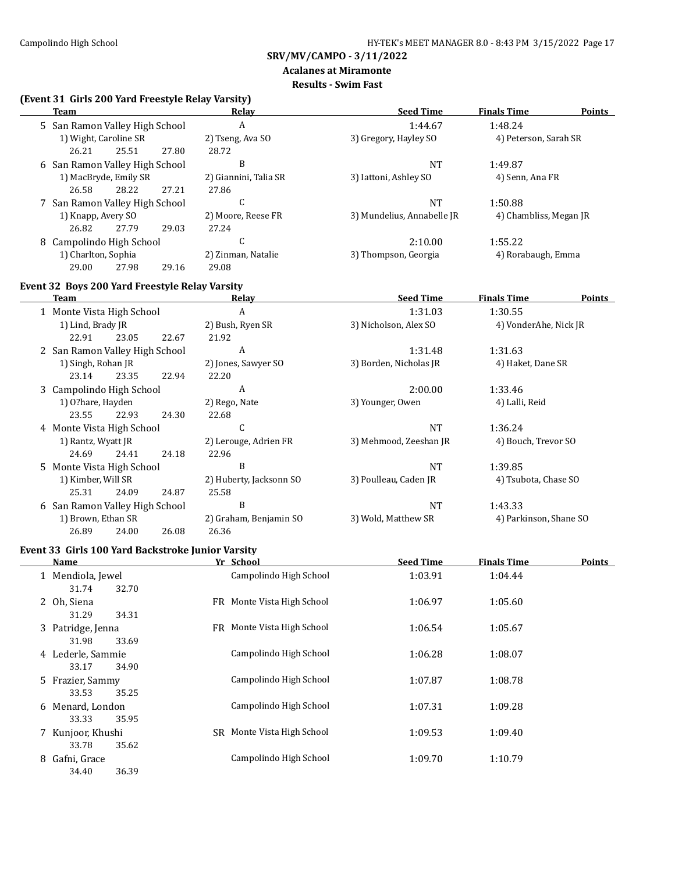#### **Acalanes at Miramonte Results - Swim Fast**

# **(Event 31 Girls 200 Yard Freestyle Relay Varsity)**

| Team                           |       | Relav                 | <b>Seed Time</b>           | <b>Finals Time</b>     | Points |
|--------------------------------|-------|-----------------------|----------------------------|------------------------|--------|
| 5 San Ramon Valley High School |       | A                     | 1:44.67                    | 1:48.24                |        |
| 1) Wight, Caroline SR          |       | 2) Tseng, Ava SO      | 3) Gregory, Hayley SO      | 4) Peterson, Sarah SR  |        |
| 25.51<br>26.21                 | 27.80 | 28.72                 |                            |                        |        |
| 6 San Ramon Valley High School |       | B                     | <b>NT</b>                  | 1:49.87                |        |
| 1) MacBryde, Emily SR          |       | 2) Giannini, Talia SR | 3) Iattoni, Ashley SO      | 4) Senn, Ana FR        |        |
| 26.58<br>28.22                 | 27.21 | 27.86                 |                            |                        |        |
| 7 San Ramon Valley High School |       | U                     | <b>NT</b>                  | 1:50.88                |        |
| 1) Knapp, Avery SO             |       | 2) Moore, Reese FR    | 3) Mundelius, Annabelle JR | 4) Chambliss, Megan JR |        |
| 27.79<br>26.82                 | 29.03 | 27.24                 |                            |                        |        |
| Campolindo High School<br>8    |       | U                     | 2:10.00                    | 1:55.22                |        |
| 1) Charlton, Sophia            |       | 2) Zinman, Natalie    | 3) Thompson, Georgia       | 4) Rorabaugh, Emma     |        |
| 29.00<br>27.98                 | 29.16 | 29.08                 |                            |                        |        |

# **Event 32 Boys 200 Yard Freestyle Relay Varsity**

| Team                           |       |       | Relay                   | <b>Seed Time</b>       | <b>Finals Time</b>     | <b>Points</b> |
|--------------------------------|-------|-------|-------------------------|------------------------|------------------------|---------------|
| 1 Monte Vista High School      |       |       | A                       | 1:31.03                | 1:30.55                |               |
| 1) Lind, Brady JR              |       |       | 2) Bush, Ryen SR        | 3) Nicholson, Alex SO  | 4) VonderAhe, Nick JR  |               |
| 22.91                          | 23.05 | 22.67 | 21.92                   |                        |                        |               |
| 2 San Ramon Valley High School |       |       | A                       | 1:31.48                | 1:31.63                |               |
| 1) Singh, Rohan JR             |       |       | 2) Jones, Sawyer SO     | 3) Borden, Nicholas JR | 4) Haket, Dane SR      |               |
| 23.14                          | 23.35 | 22.94 | 22.20                   |                        |                        |               |
| 3 Campolindo High School       |       |       | A                       | 2:00.00                | 1:33.46                |               |
| 1) O?hare, Hayden              |       |       | 2) Rego, Nate           | 3) Younger, Owen       | 4) Lalli, Reid         |               |
| 23.55                          | 22.93 | 24.30 | 22.68                   |                        |                        |               |
| 4 Monte Vista High School      |       |       | C                       | NT                     | 1:36.24                |               |
| 1) Rantz, Wyatt JR             |       |       | 2) Lerouge, Adrien FR   | 3) Mehmood, Zeeshan JR | 4) Bouch, Trevor SO    |               |
| 24.69                          | 24.41 | 24.18 | 22.96                   |                        |                        |               |
| 5 Monte Vista High School      |       |       | B                       | NT                     | 1:39.85                |               |
| 1) Kimber, Will SR             |       |       | 2) Huberty, Jacksonn SO | 3) Poulleau, Caden JR  | 4) Tsubota, Chase SO   |               |
| 25.31                          | 24.09 | 24.87 | 25.58                   |                        |                        |               |
| 6 San Ramon Valley High School |       |       | B                       | NT                     | 1:43.33                |               |
| 1) Brown, Ethan SR             |       |       | 2) Graham, Benjamin SO  | 3) Wold, Matthew SR    | 4) Parkinson, Shane SO |               |
| 26.89                          | 24.00 | 26.08 | 26.36                   |                        |                        |               |

# **Event 33 Girls 100 Yard Backstroke Junior Varsity**

| Name                                | Yr School                      | <b>Seed Time</b> | <b>Finals Time</b> | Points |
|-------------------------------------|--------------------------------|------------------|--------------------|--------|
| 1 Mendiola, Jewel<br>32.70<br>31.74 | Campolindo High School         | 1:03.91          | 1:04.44            |        |
| 2 Oh, Siena<br>31.29<br>34.31       | FR Monte Vista High School     | 1:06.97          | 1:05.60            |        |
| 3 Patridge, Jenna<br>31.98<br>33.69 | FR Monte Vista High School     | 1:06.54          | 1:05.67            |        |
| 4 Lederle, Sammie<br>34.90<br>33.17 | Campolindo High School         | 1:06.28          | 1:08.07            |        |
| 5 Frazier, Sammy<br>33.53<br>35.25  | Campolindo High School         | 1:07.87          | 1:08.78            |        |
| 6 Menard, London<br>35.95<br>33.33  | Campolindo High School         | 1:07.31          | 1:09.28            |        |
| 7 Kunjoor, Khushi<br>35.62<br>33.78 | Monte Vista High School<br>SR. | 1:09.53          | 1:09.40            |        |
| Gafni, Grace<br>8<br>36.39<br>34.40 | Campolindo High School         | 1:09.70          | 1:10.79            |        |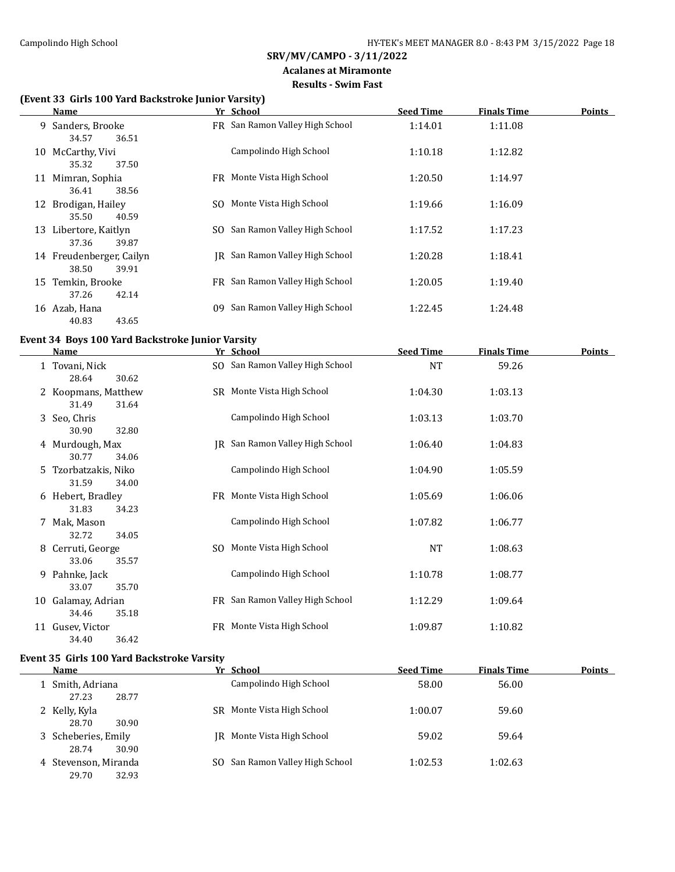#### **Acalanes at Miramonte Results - Swim Fast**

# **(Event 33 Girls 100 Yard Backstroke Junior Varsity)**

|    | Name                                       |     | Yr School                       | <b>Seed Time</b> | <b>Finals Time</b> | <b>Points</b> |
|----|--------------------------------------------|-----|---------------------------------|------------------|--------------------|---------------|
|    | 9 Sanders, Brooke<br>34.57<br>36.51        |     | FR San Ramon Valley High School | 1:14.01          | 1:11.08            |               |
| 10 | McCarthy, Vivi<br>35.32<br>37.50           |     | Campolindo High School          | 1:10.18          | 1:12.82            |               |
|    | 11 Mimran, Sophia<br>36.41<br>38.56        |     | FR Monte Vista High School      | 1:20.50          | 1:14.97            |               |
|    | 12 Brodigan, Hailey<br>35.50<br>40.59      | SO. | Monte Vista High School         | 1:19.66          | 1:16.09            |               |
| 13 | Libertore, Kaitlyn<br>37.36<br>39.87       | SO. | San Ramon Valley High School    | 1:17.52          | 1:17.23            |               |
|    | 14 Freudenberger, Cailyn<br>38.50<br>39.91 |     | IR San Ramon Valley High School | 1:20.28          | 1:18.41            |               |
| 15 | Temkin, Brooke<br>42.14<br>37.26           |     | FR San Ramon Valley High School | 1:20.05          | 1:19.40            |               |
| 16 | Azab, Hana<br>40.83<br>43.65               | 09  | San Ramon Valley High School    | 1:22.45          | 1:24.48            |               |

#### **Event 34 Boys 100 Yard Backstroke Junior Varsity**

|    | Name                 | Yr School                       | <b>Seed Time</b> | <b>Finals Time</b> | <b>Points</b> |
|----|----------------------|---------------------------------|------------------|--------------------|---------------|
|    | 1 Tovani, Nick       | SO San Ramon Valley High School | <b>NT</b>        | 59.26              |               |
|    | 28.64<br>30.62       |                                 |                  |                    |               |
|    | 2 Koopmans, Matthew  | SR Monte Vista High School      | 1:04.30          | 1:03.13            |               |
|    | 31.49<br>31.64       |                                 |                  |                    |               |
|    | 3 Seo, Chris         | Campolindo High School          | 1:03.13          | 1:03.70            |               |
|    | 30.90<br>32.80       |                                 |                  |                    |               |
|    | 4 Murdough, Max      | IR San Ramon Valley High School | 1:06.40          | 1:04.83            |               |
|    | 30.77<br>34.06       |                                 |                  |                    |               |
|    | 5 Tzorbatzakis, Niko | Campolindo High School          | 1:04.90          | 1:05.59            |               |
|    | 31.59<br>34.00       |                                 |                  |                    |               |
|    | 6 Hebert, Bradley    | FR Monte Vista High School      | 1:05.69          | 1:06.06            |               |
|    |                      |                                 |                  |                    |               |
|    | 31.83<br>34.23       |                                 |                  |                    |               |
|    | 7 Mak, Mason         | Campolindo High School          | 1:07.82          | 1:06.77            |               |
|    | 32.72<br>34.05       |                                 |                  |                    |               |
| 8  | Cerruti, George      | SO Monte Vista High School      | NT               | 1:08.63            |               |
|    | 33.06<br>35.57       |                                 |                  |                    |               |
|    | 9 Pahnke, Jack       | Campolindo High School          | 1:10.78          | 1:08.77            |               |
|    | 33.07<br>35.70       |                                 |                  |                    |               |
| 10 | Galamay, Adrian      | FR San Ramon Valley High School | 1:12.29          | 1:09.64            |               |
|    | 34.46<br>35.18       |                                 |                  |                    |               |
| 11 | Gusev, Victor        | FR Monte Vista High School      | 1:09.87          | 1:10.82            |               |
|    | 34.40<br>36.42       |                                 |                  |                    |               |

#### **Event 35 Girls 100 Yard Backstroke Varsity**

| Name                                   | Yr School                       | <b>Seed Time</b> | <b>Finals Time</b> | Points |
|----------------------------------------|---------------------------------|------------------|--------------------|--------|
| 1 Smith, Adriana<br>27.23<br>28.77     | Campolindo High School          | 58.00            | 56.00              |        |
| 2 Kelly, Kyla<br>30.90<br>28.70        | SR Monte Vista High School      | 1:00.07          | 59.60              |        |
| 3 Scheberies, Emily<br>30.90<br>28.74  | IR Monte Vista High School      | 59.02            | 59.64              |        |
| 4 Stevenson, Miranda<br>29.70<br>32.93 | SO San Ramon Valley High School | 1:02.53          | 1:02.63            |        |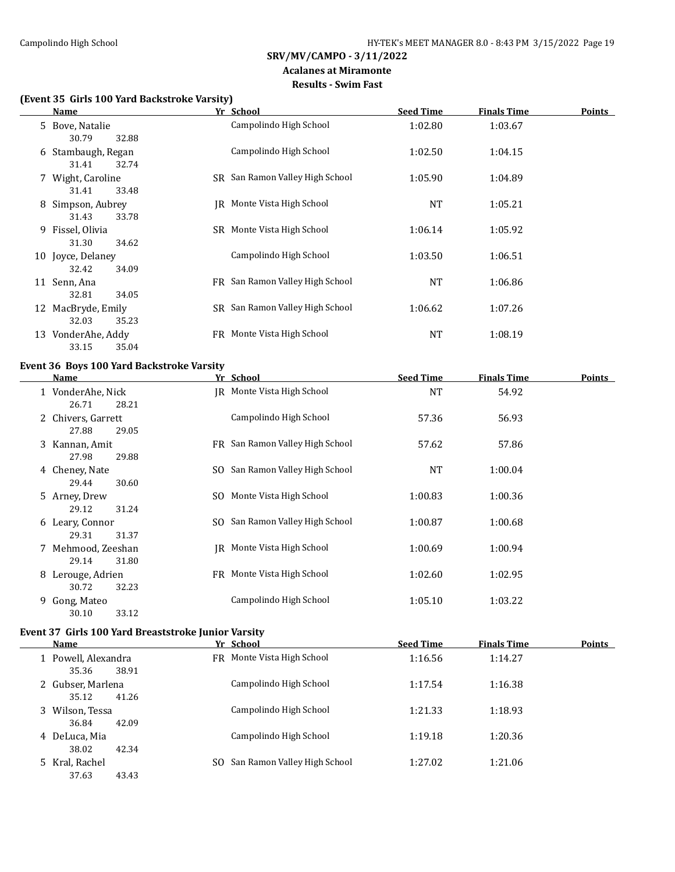#### **Acalanes at Miramonte Results - Swim Fast**

# **(Event 35 Girls 100 Yard Backstroke Varsity)**

|   | <b>Name</b>        | Yr School                       | <b>Seed Time</b> | <b>Finals Time</b> | <b>Points</b> |
|---|--------------------|---------------------------------|------------------|--------------------|---------------|
|   | 5 Bove, Natalie    | Campolindo High School          | 1:02.80          | 1:03.67            |               |
|   | 32.88<br>30.79     |                                 |                  |                    |               |
|   | 6 Stambaugh, Regan | Campolindo High School          | 1:02.50          | 1:04.15            |               |
|   | 31.41<br>32.74     |                                 |                  |                    |               |
|   | 7 Wight, Caroline  | SR San Ramon Valley High School | 1:05.90          | 1:04.89            |               |
|   | 33.48<br>31.41     |                                 |                  |                    |               |
| 8 | Simpson, Aubrey    | JR Monte Vista High School      | NT               | 1:05.21            |               |
|   | 31.43<br>33.78     |                                 |                  |                    |               |
|   | 9 Fissel, Olivia   | SR Monte Vista High School      | 1:06.14          | 1:05.92            |               |
|   | 31.30<br>34.62     |                                 |                  |                    |               |
|   | 10 Joyce, Delaney  | Campolindo High School          | 1:03.50          | 1:06.51            |               |
|   | 32.42<br>34.09     |                                 |                  |                    |               |
|   | 11 Senn, Ana       | FR San Ramon Valley High School | <b>NT</b>        | 1:06.86            |               |
|   | 32.81<br>34.05     |                                 |                  |                    |               |
|   | 12 MacBryde, Emily | SR San Ramon Valley High School | 1:06.62          | 1:07.26            |               |
|   | 32.03<br>35.23     |                                 |                  |                    |               |
|   |                    |                                 |                  |                    |               |
|   | 13 VonderAhe, Addy | FR Monte Vista High School      | <b>NT</b>        | 1:08.19            |               |
|   | 33.15<br>35.04     |                                 |                  |                    |               |

# **Event 36 Boys 100 Yard Backstroke Varsity**

| Name                 | Yr School                       | <b>Seed Time</b> | <b>Finals Time</b> | Points |
|----------------------|---------------------------------|------------------|--------------------|--------|
| 1 VonderAhe, Nick    | JR Monte Vista High School      | <b>NT</b>        | 54.92              |        |
| 26.71<br>28.21       |                                 |                  |                    |        |
| 2 Chivers, Garrett   | Campolindo High School          | 57.36            | 56.93              |        |
| 27.88<br>29.05       |                                 |                  |                    |        |
| 3 Kannan, Amit       | FR San Ramon Valley High School | 57.62            | 57.86              |        |
| 29.88<br>27.98       |                                 |                  |                    |        |
| 4 Cheney, Nate       | SO San Ramon Valley High School | <b>NT</b>        | 1:00.04            |        |
| 29.44<br>30.60       |                                 |                  |                    |        |
| 5 Arney, Drew        | SO Monte Vista High School      | 1:00.83          | 1:00.36            |        |
| 29.12<br>31.24       |                                 |                  |                    |        |
| 6 Leary, Connor      | SO San Ramon Valley High School | 1:00.87          | 1:00.68            |        |
| 29.31<br>31.37       |                                 |                  |                    |        |
|                      |                                 |                  |                    |        |
| 7 Mehmood, Zeeshan   | IR Monte Vista High School      | 1:00.69          | 1:00.94            |        |
| 29.14<br>31.80       |                                 |                  |                    |        |
| Lerouge, Adrien<br>8 | FR Monte Vista High School      | 1:02.60          | 1:02.95            |        |
| 30.72<br>32.23       |                                 |                  |                    |        |
| Gong, Mateo<br>9.    | Campolindo High School          | 1:05.10          | 1:03.22            |        |
| 33.12<br>30.10       |                                 |                  |                    |        |

#### **Event 37 Girls 100 Yard Breaststroke Junior Varsity**

| Name                         |              | Yr School                    | <b>Seed Time</b> | <b>Finals Time</b> | Points |
|------------------------------|--------------|------------------------------|------------------|--------------------|--------|
| 1 Powell, Alexandra<br>35.36 | 38.91        | FR Monte Vista High School   | 1:16.56          | 1:14.27            |        |
| 2 Gubser, Marlena<br>35.12   | 41.26        | Campolindo High School       | 1:17.54          | 1:16.38            |        |
| 3 Wilson, Tessa<br>36.84     | 42.09        | Campolindo High School       | 1:21.33          | 1:18.93            |        |
| 4 DeLuca, Mia<br>38.02       | 42.34        | Campolindo High School       | 1:19.18          | 1:20.36            |        |
| 5 Kral, Rachel<br>37.63      | SO.<br>43.43 | San Ramon Valley High School | 1:27.02          | 1:21.06            |        |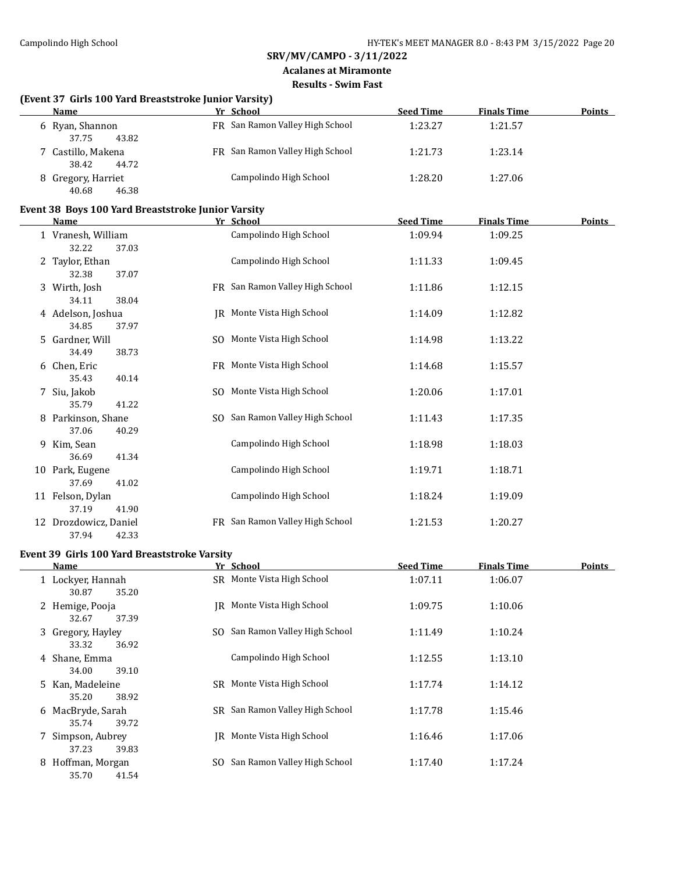#### **Acalanes at Miramonte Results - Swim Fast**

# **(Event 37 Girls 100 Yard Breaststroke Junior Varsity)**

| Name                                 | Yr School                       | <b>Seed Time</b> | <b>Finals Time</b> | <b>Points</b> |
|--------------------------------------|---------------------------------|------------------|--------------------|---------------|
| 6 Ryan, Shannon<br>43.82<br>37.75    | FR San Ramon Valley High School | 1:23.27          | 1:21.57            |               |
| 7 Castillo, Makena<br>38.42<br>44.72 | FR San Ramon Valley High School | 1:21.73          | 1:23.14            |               |
| 8 Gregory, Harriet<br>40.68<br>46.38 | Campolindo High School          | 1:28.20          | 1:27.06            |               |

#### **Event 38 Boys 100 Yard Breaststroke Junior Varsity**

|    | <b>Name</b>                          |     | Yr School                       | <b>Seed Time</b> | <b>Finals Time</b> | <b>Points</b> |
|----|--------------------------------------|-----|---------------------------------|------------------|--------------------|---------------|
|    | 1 Vranesh, William<br>32.22<br>37.03 |     | Campolindo High School          | 1:09.94          | 1:09.25            |               |
|    | 2 Taylor, Ethan<br>32.38<br>37.07    |     | Campolindo High School          | 1:11.33          | 1:09.45            |               |
|    | 3 Wirth, Josh<br>38.04<br>34.11      |     | FR San Ramon Valley High School | 1:11.86          | 1:12.15            |               |
|    | 4 Adelson, Joshua<br>34.85<br>37.97  |     | JR Monte Vista High School      | 1:14.09          | 1:12.82            |               |
|    | 5 Gardner, Will<br>34.49<br>38.73    |     | SO Monte Vista High School      | 1:14.98          | 1:13.22            |               |
|    | 6 Chen, Eric<br>35.43<br>40.14       |     | FR Monte Vista High School      | 1:14.68          | 1:15.57            |               |
|    | 7 Siu, Jakob<br>41.22<br>35.79       | SO. | Monte Vista High School         | 1:20.06          | 1:17.01            |               |
| 8  | Parkinson, Shane<br>37.06<br>40.29   |     | SO San Ramon Valley High School | 1:11.43          | 1:17.35            |               |
|    | 9 Kim, Sean<br>36.69<br>41.34        |     | Campolindo High School          | 1:18.98          | 1:18.03            |               |
|    | 10 Park, Eugene<br>37.69<br>41.02    |     | Campolindo High School          | 1:19.71          | 1:18.71            |               |
|    | 11 Felson, Dylan<br>37.19<br>41.90   |     | Campolindo High School          | 1:18.24          | 1:19.09            |               |
| 12 | Drozdowicz, Daniel<br>37.94<br>42.33 | FR. | San Ramon Valley High School    | 1:21.53          | 1:20.27            |               |

#### **Event 39 Girls 100 Yard Breaststroke Varsity**

| Name                                | Yr School                       | <b>Seed Time</b> | <b>Finals Time</b> | <b>Points</b> |
|-------------------------------------|---------------------------------|------------------|--------------------|---------------|
| 1 Lockyer, Hannah<br>30.87<br>35.20 | SR Monte Vista High School      | 1:07.11          | 1:06.07            |               |
| 2 Hemige, Pooja<br>37.39<br>32.67   | IR Monte Vista High School      | 1:09.75          | 1:10.06            |               |
| 3 Gregory, Hayley<br>33.32<br>36.92 | SO San Ramon Valley High School | 1:11.49          | 1:10.24            |               |
| 4 Shane, Emma<br>34.00<br>39.10     | Campolindo High School          | 1:12.55          | 1:13.10            |               |
| 5 Kan, Madeleine<br>35.20<br>38.92  | Monte Vista High School<br>SR.  | 1:17.74          | 1:14.12            |               |
| 6 MacBryde, Sarah<br>39.72<br>35.74 | SR San Ramon Valley High School | 1:17.78          | 1:15.46            |               |
| 7 Simpson, Aubrey<br>37.23<br>39.83 | Monte Vista High School<br>IR.  | 1:16.46          | 1:17.06            |               |
| 8 Hoffman, Morgan<br>41.54<br>35.70 | SO San Ramon Valley High School | 1:17.40          | 1:17.24            |               |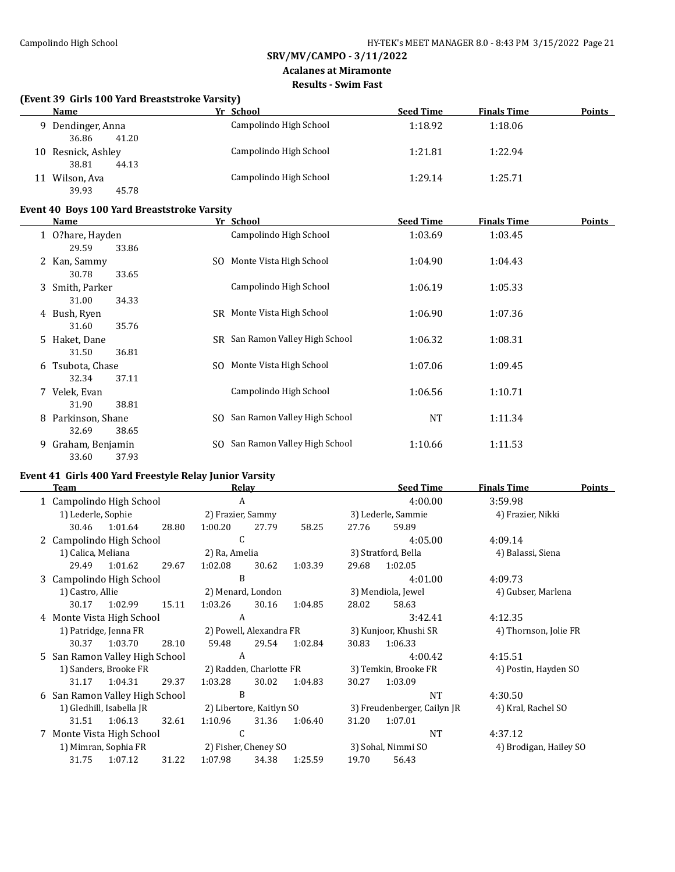#### **Acalanes at Miramonte Results - Swim Fast**

#### **(Event 39 Girls 100 Yard Breaststroke Varsity)**

| Name                                    | Yr School              | <b>Seed Time</b> | <b>Finals Time</b> | <b>Points</b> |
|-----------------------------------------|------------------------|------------------|--------------------|---------------|
| Dendinger, Anna<br>Q.<br>36.86<br>41.20 | Campolindo High School | 1:18.92          | 1:18.06            |               |
| 10 Resnick, Ashley<br>38.81<br>44.13    | Campolindo High School | 1:21.81          | 1:22.94            |               |
| Wilson, Ava<br>11<br>39.93<br>45.78     | Campolindo High School | 1:29.14          | 1:25.71            |               |

#### **Event 40 Boys 100 Yard Breaststroke Varsity**

|    | Name                                 |     | Yr School                       | <b>Seed Time</b> | <b>Finals Time</b> | <b>Points</b> |
|----|--------------------------------------|-----|---------------------------------|------------------|--------------------|---------------|
|    | 1 O?hare, Hayden<br>29.59<br>33.86   |     | Campolindo High School          | 1:03.69          | 1:03.45            |               |
|    | 2 Kan, Sammy<br>30.78<br>33.65       | SO. | Monte Vista High School         | 1:04.90          | 1:04.43            |               |
|    | 3 Smith, Parker<br>31.00<br>34.33    |     | Campolindo High School          | 1:06.19          | 1:05.33            |               |
|    | 4 Bush, Ryen<br>31.60<br>35.76       |     | SR Monte Vista High School      | 1:06.90          | 1:07.36            |               |
|    | 5 Haket, Dane<br>31.50<br>36.81      |     | SR San Ramon Valley High School | 1:06.32          | 1:08.31            |               |
| 6  | Tsubota, Chase<br>32.34<br>37.11     |     | SO Monte Vista High School      | 1:07.06          | 1:09.45            |               |
|    | 7 Velek, Evan<br>31.90<br>38.81      |     | Campolindo High School          | 1:06.56          | 1:10.71            |               |
|    | 8 Parkinson, Shane<br>32.69<br>38.65 |     | SO San Ramon Valley High School | NT               | 1:11.34            |               |
| 9. | Graham, Benjamin<br>33.60<br>37.93   |     | SO San Ramon Valley High School | 1:10.66          | 1:11.53            |               |

# **Event 41 Girls 400 Yard Freestyle Relay Junior Varsity**

|   | Team                           |                              |       |                         | Relay                    |         |       | <b>Seed Time</b>            | Finals Time            | <b>Points</b> |
|---|--------------------------------|------------------------------|-------|-------------------------|--------------------------|---------|-------|-----------------------------|------------------------|---------------|
|   | 1 Campolindo High School       |                              |       | A                       |                          |         |       | 4:00.00                     | 3:59.98                |               |
|   | 1) Lederle, Sophie             |                              |       | 2) Frazier, Sammy       |                          |         |       | 3) Lederle, Sammie          | 4) Frazier, Nikki      |               |
|   |                                | 30.46 1:01.64                | 28.80 | 1:00.20                 | 27.79                    | 58.25   | 27.76 | 59.89                       |                        |               |
|   | 2 Campolindo High School       |                              |       | C                       |                          |         |       | 4:05.00                     | 4:09.14                |               |
|   | 1) Calica, Meliana             |                              |       | 2) Ra, Amelia           |                          |         |       | 3) Stratford, Bella         | 4) Balassi, Siena      |               |
|   | 29.49                          | 1:01.62                      | 29.67 | 1:02.08                 | 30.62                    | 1:03.39 | 29.68 | 1:02.05                     |                        |               |
|   | 3 Campolindo High School       |                              |       | B                       |                          |         |       | 4:01.00                     | 4:09.73                |               |
|   | 1) Castro, Allie               |                              |       | 2) Menard, London       |                          |         |       | 3) Mendiola, Jewel          | 4) Gubser, Marlena     |               |
|   | 30.17                          | 1:02.99                      | 15.11 | 1:03.26                 | 30.16                    | 1:04.85 | 28.02 | 58.63                       |                        |               |
|   | 4 Monte Vista High School      |                              |       | A                       |                          |         |       | 3:42.41                     | 4:12.35                |               |
|   | 1) Patridge, Jenna FR          |                              |       | 2) Powell, Alexandra FR |                          |         |       | 3) Kunjoor, Khushi SR       | 4) Thornson, Jolie FR  |               |
|   | 30.37                          | 1:03.70                      | 28.10 | 59.48                   | 29.54                    | 1:02.84 | 30.83 | 1:06.33                     |                        |               |
|   | 5 San Ramon Valley High School |                              |       | A                       |                          |         |       | 4:00.42                     | 4:15.51                |               |
|   |                                | 1) Sanders, Brooke FR        |       | 2) Radden, Charlotte FR |                          |         |       | 3) Temkin, Brooke FR        | 4) Postin, Hayden SO   |               |
|   | 31.17                          | 1:04.31                      | 29.37 | 1:03.28                 | 30.02                    | 1:04.83 | 30.27 | 1:03.09                     |                        |               |
| 6 |                                | San Ramon Valley High School |       | B                       |                          |         |       | <b>NT</b>                   | 4:30.50                |               |
|   |                                | 1) Gledhill, Isabella JR     |       |                         | 2) Libertore, Kaitlyn SO |         |       | 3) Freudenberger, Cailyn JR | 4) Kral, Rachel SO     |               |
|   | 31.51                          | 1:06.13                      | 32.61 | 1:10.96                 | 31.36                    | 1:06.40 | 31.20 | 1:07.01                     |                        |               |
|   | 7 Monte Vista High School      |                              |       | C                       |                          |         |       | <b>NT</b>                   | 4:37.12                |               |
|   |                                | 1) Mimran, Sophia FR         |       |                         | 2) Fisher, Cheney SO     |         |       | 3) Sohal, Nimmi SO          | 4) Brodigan, Hailey SO |               |
|   | 31.75                          | 1:07.12                      | 31.22 | 1:07.98                 | 34.38                    | 1:25.59 | 19.70 | 56.43                       |                        |               |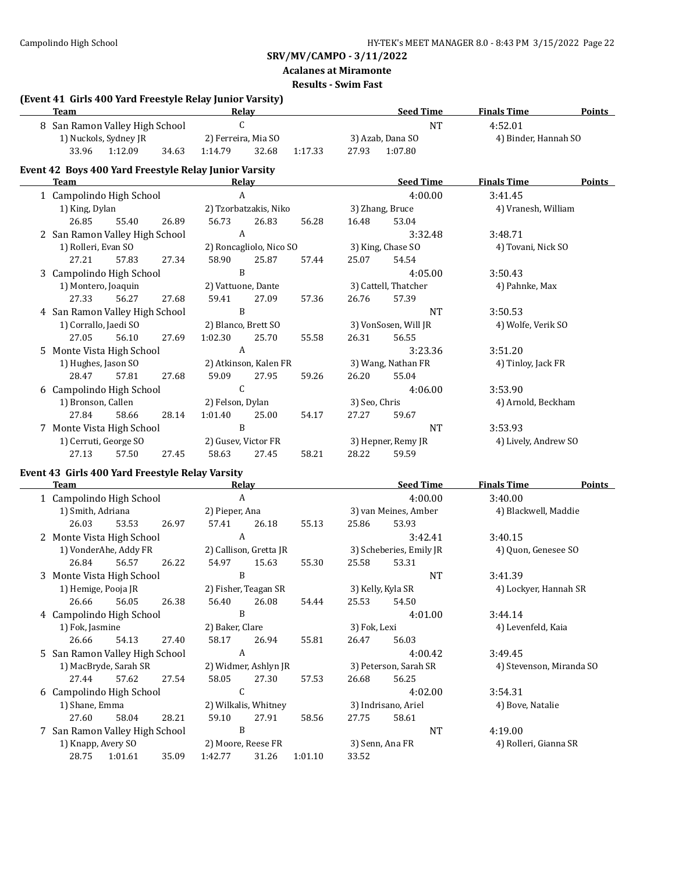# **Acalanes at Miramonte**

**Results - Swim Fast**

#### **(Event 41 Girls 400 Yard Freestyle Relay Junior Varsity)**

| Team                           |                       | Relay   | <b>Seed Time</b> |         |       | <b>Finals Time</b> | <b>Points</b> |                      |  |
|--------------------------------|-----------------------|---------|------------------|---------|-------|--------------------|---------------|----------------------|--|
| 8 San Ramon Valley High School |                       |         |                  |         |       |                    | NT            | 4:52.01              |  |
|                                | 1) Nuckols, Sydney JR |         |                  |         |       | 3) Azab, Dana SO   |               | 4) Binder, Hannah SO |  |
| 33.96<br>1:12.09               | 34.63                 | 1.14.79 | 32.68            | 1:17.33 | 27.93 | 1:07.80            |               |                      |  |

# **Event 42 Boys 400 Yard Freestyle Relay Junior Varsity**

| Team |                                |       |       |                       | <b>Relay</b>            |       |                    | <b>Seed Time</b>     | <b>Finals Time</b>   | <b>Points</b> |
|------|--------------------------------|-------|-------|-----------------------|-------------------------|-------|--------------------|----------------------|----------------------|---------------|
|      | 1 Campolindo High School       |       |       |                       | A                       |       |                    | 4:00.00              | 3:41.45              |               |
|      | 1) King, Dylan                 |       |       |                       | 2) Tzorbatzakis, Niko   |       |                    | 3) Zhang, Bruce      | 4) Vranesh, William  |               |
|      | 26.85                          | 55.40 | 26.89 | 56.73                 | 26.83                   | 56.28 | 16.48              | 53.04                |                      |               |
|      | 2 San Ramon Valley High School |       |       | A                     |                         |       |                    | 3:32.48              | 3:48.71              |               |
|      | 1) Rolleri, Evan SO            |       |       |                       | 2) Roncagliolo, Nico SO |       |                    | 3) King, Chase SO    | 4) Tovani, Nick SO   |               |
|      | 27.21                          | 57.83 | 27.34 | 58.90                 | 25.87                   | 57.44 | 25.07              | 54.54                |                      |               |
|      | 3 Campolindo High School       |       |       | B                     |                         |       |                    | 4:05.00              | 3:50.43              |               |
|      | 1) Montero, Joaquin            |       |       | 2) Vattuone, Dante    |                         |       |                    | 3) Cattell, Thatcher | 4) Pahnke, Max       |               |
|      | 27.33                          | 56.27 | 27.68 | 59.41                 | 27.09                   | 57.36 | 26.76              | 57.39                |                      |               |
|      | 4 San Ramon Valley High School |       |       | B                     |                         |       |                    | NT                   | 3:50.53              |               |
|      | 1) Corrallo, Jaedi SO          |       |       | 2) Blanco, Brett SO   |                         |       |                    | 3) VonSosen, Will JR | 4) Wolfe, Verik SO   |               |
|      | 27.05                          | 56.10 | 27.69 | 1:02.30               | 25.70                   | 55.58 | 26.31              | 56.55                |                      |               |
|      | 5 Monte Vista High School      |       |       | A                     |                         |       |                    | 3:23.36              | 3:51.20              |               |
|      | 1) Hughes, Jason SO            |       |       | 2) Atkinson, Kalen FR |                         |       | 3) Wang, Nathan FR |                      | 4) Tinloy, Jack FR   |               |
|      | 28.47                          | 57.81 | 27.68 | 59.09                 | 27.95                   | 59.26 | 26.20              | 55.04                |                      |               |
|      | 6 Campolindo High School       |       |       | C                     |                         |       |                    | 4:06.00              | 3:53.90              |               |
|      | 1) Bronson, Callen             |       |       | 2) Felson, Dylan      |                         |       | 3) Seo, Chris      |                      | 4) Arnold, Beckham   |               |
|      | 27.84                          | 58.66 | 28.14 | 1:01.40               | 25.00                   | 54.17 | 27.27              | 59.67                |                      |               |
|      | 7 Monte Vista High School      |       |       | B                     |                         |       |                    | NT                   | 3:53.93              |               |
|      | 1) Cerruti, George SO          |       |       |                       | 2) Gusev, Victor FR     |       |                    | 3) Hepner, Remy JR   | 4) Lively, Andrew SO |               |
|      | 27.13                          | 57.50 | 27.45 | 58.63                 | 27.45                   | 58.21 | 28.22              | 59.59                |                      |               |
|      |                                |       |       |                       |                         |       |                    |                      |                      |               |

# **Event 43 Girls 400 Yard Freestyle Relay Varsity**

| <b>Team</b>              |                                |                                |       | Relay                |                        |         | <b>Seed Time</b> | <b>Finals Time</b>      | <b>Points</b>            |  |
|--------------------------|--------------------------------|--------------------------------|-------|----------------------|------------------------|---------|------------------|-------------------------|--------------------------|--|
| 1 Campolindo High School |                                |                                |       | A                    |                        |         |                  | 4:00.00                 | 3:40.00                  |  |
|                          | 1) Smith, Adriana              |                                |       | 2) Pieper, Ana       |                        |         |                  | 3) van Meines, Amber    | 4) Blackwell, Maddie     |  |
|                          | 26.03                          | 53.53                          | 26.97 | 57.41                | 26.18                  | 55.13   | 25.86            | 53.93                   |                          |  |
|                          | 2 Monte Vista High School      |                                |       | A                    |                        |         |                  | 3:42.41                 | 3:40.15                  |  |
|                          |                                | 1) VonderAhe, Addy FR          |       |                      | 2) Callison, Gretta JR |         |                  | 3) Scheberies, Emily JR | 4) Quon, Genesee SO      |  |
|                          | 26.84                          | 56.57                          | 26.22 | 54.97                | 15.63                  | 55.30   | 25.58            | 53.31                   |                          |  |
|                          | 3 Monte Vista High School      |                                |       |                      | B                      |         |                  | <b>NT</b>               | 3:41.39                  |  |
|                          | 1) Hemige, Pooja JR            |                                |       | 2) Fisher, Teagan SR |                        |         |                  | 3) Kelly, Kyla SR       | 4) Lockyer, Hannah SR    |  |
|                          | 26.66                          | 56.05                          | 26.38 | 56.40                | 26.08                  | 54.44   | 25.53            | 54.50                   |                          |  |
|                          | 4 Campolindo High School       |                                |       | B                    |                        |         |                  | 4:01.00                 | 3:44.14                  |  |
|                          | 1) Fok, Jasmine                |                                |       | 2) Baker, Clare      |                        |         | 3) Fok, Lexi     |                         | 4) Levenfeld, Kaia       |  |
|                          | 26.66                          | 54.13                          | 27.40 | 58.17                | 26.94                  | 55.81   | 26.47            | 56.03                   |                          |  |
|                          | 5 San Ramon Valley High School |                                |       | A                    |                        |         |                  | 4:00.42                 | 3:49.45                  |  |
|                          |                                | 1) MacBryde, Sarah SR          |       | 2) Widmer, Ashlyn JR |                        |         |                  | 3) Peterson, Sarah SR   | 4) Stevenson, Miranda SO |  |
|                          | 27.44                          | 57.62                          | 27.54 | 58.05                | 27.30                  | 57.53   | 26.68            | 56.25                   |                          |  |
|                          | 6 Campolindo High School       |                                |       |                      | C                      |         |                  | 4:02.00                 | 3:54.31                  |  |
|                          | 1) Shane, Emma                 |                                |       | 2) Wilkalis, Whitney |                        |         |                  | 3) Indrisano, Ariel     | 4) Bove, Natalie         |  |
|                          | 27.60                          | 58.04                          | 28.21 | 59.10                | 27.91                  | 58.56   | 27.75            | 58.61                   |                          |  |
|                          |                                | 7 San Ramon Valley High School |       | B                    |                        |         |                  | <b>NT</b>               | 4:19.00                  |  |
|                          | 1) Knapp, Avery SO             |                                |       |                      | 2) Moore, Reese FR     |         |                  | 3) Senn, Ana FR         | 4) Rolleri, Gianna SR    |  |
|                          | 28.75                          | 1:01.61                        | 35.09 | 1:42.77              | 31.26                  | 1:01.10 | 33.52            |                         |                          |  |